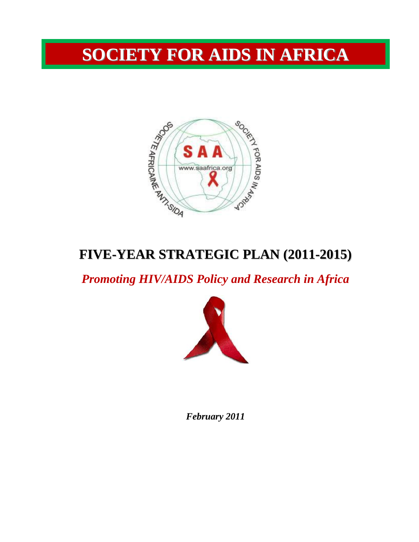# **SOCIETY FOR AIDS IN AFRICA**



## **FIVE-YEAR STRATEGIC PLAN (2011-2015)**

*Promoting HIV/AIDS Policy and Research in Africa* 



*February 2011*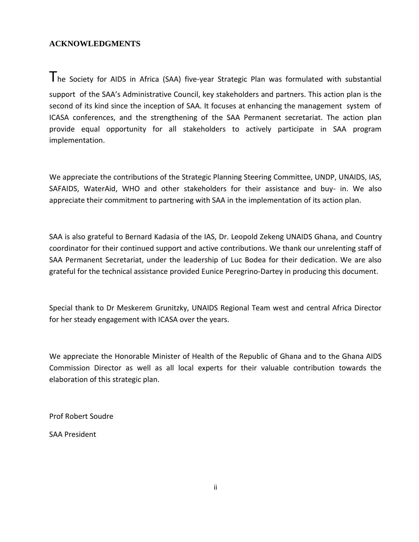## **ACKNOWLEDGMENTS**

The Society for AIDS in Africa (SAA) five-year Strategic Plan was formulated with substantial support of the SAA's Administrative Council, key stakeholders and partners. This action plan is the second of its kind since the inception of SAA. It focuses at enhancing the management system of ICASA conferences, and the strengthening of the SAA Permanent secretariat. The action plan provide equal opportunity for all stakeholders to actively participate in SAA program implementation.

We appreciate the contributions of the Strategic Planning Steering Committee, UNDP, UNAIDS, IAS, SAFAIDS, WaterAid, WHO and other stakeholders for their assistance and buy- in. We also appreciate their commitment to partnering with SAA in the implementation of its action plan.

SAA is also grateful to Bernard Kadasia of the IAS, Dr. Leopold Zekeng UNAIDS Ghana, and Country coordinator for their continued support and active contributions. We thank our unrelenting staff of SAA Permanent Secretariat, under the leadership of Luc Bodea for their dedication. We are also grateful for the technical assistance provided Eunice Peregrino-Dartey in producing this document.

Special thank to Dr Meskerem Grunitzky, UNAIDS Regional Team west and central Africa Director for her steady engagement with ICASA over the years.

We appreciate the Honorable Minister of Health of the Republic of Ghana and to the Ghana AIDS Commission Director as well as all local experts for their valuable contribution towards the elaboration of this strategic plan.

Prof Robert Soudre

SAA President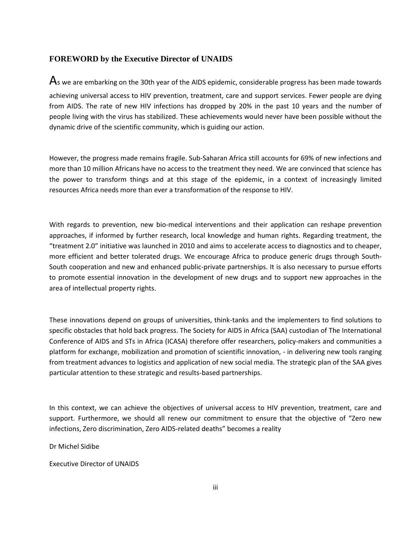#### **FOREWORD by the Executive Director of UNAIDS**

 $\mathsf A$ s we are embarking on the 30th year of the AIDS epidemic, considerable progress has been made towards achieving universal access to HIV prevention, treatment, care and support services. Fewer people are dying from AIDS. The rate of new HIV infections has dropped by 20% in the past 10 years and the number of people living with the virus has stabilized. These achievements would never have been possible without the dynamic drive of the scientific community, which is guiding our action.

However, the progress made remains fragile. Sub-Saharan Africa still accounts for 69% of new infections and more than 10 million Africans have no access to the treatment they need. We are convinced that science has the power to transform things and at this stage of the epidemic, in a context of increasingly limited resources Africa needs more than ever a transformation of the response to HIV.

With regards to prevention, new bio-medical interventions and their application can reshape prevention approaches, if informed by further research, local knowledge and human rights. Regarding treatment, the "treatment 2.0" initiative was launched in 2010 and aims to accelerate access to diagnostics and to cheaper, more efficient and better tolerated drugs. We encourage Africa to produce generic drugs through South-South cooperation and new and enhanced public-private partnerships. It is also necessary to pursue efforts to promote essential innovation in the development of new drugs and to support new approaches in the area of intellectual property rights.

These innovations depend on groups of universities, think-tanks and the implementers to find solutions to specific obstacles that hold back progress. The Society for AIDS in Africa (SAA) custodian of The International Conference of AIDS and STs in Africa (ICASA) therefore offer researchers, policy-makers and communities a platform for exchange, mobilization and promotion of scientific innovation, - in delivering new tools ranging from treatment advances to logistics and application of new social media. The strategic plan of the SAA gives particular attention to these strategic and results-based partnerships.

In this context, we can achieve the objectives of universal access to HIV prevention, treatment, care and support. Furthermore, we should all renew our commitment to ensure that the objective of "Zero new infections, Zero discrimination, Zero AIDS-related deaths" becomes a reality

Dr Michel Sidibe

Executive Director of UNAIDS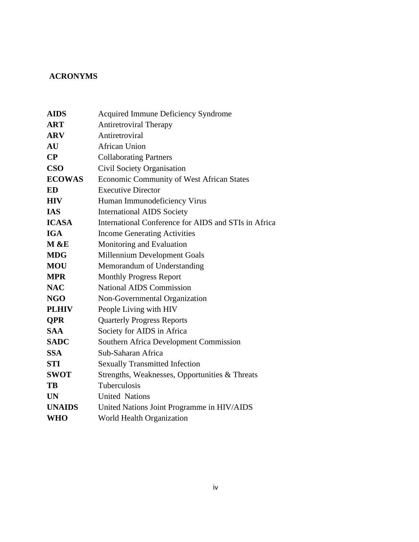## **ACRONYMS**

| <b>AIDS</b>   | <b>Acquired Immune Deficiency Syndrome</b>           |
|---------------|------------------------------------------------------|
| <b>ART</b>    | <b>Antiretroviral Therapy</b>                        |
| <b>ARV</b>    | Antiretroviral                                       |
| AU            | <b>African Union</b>                                 |
| $\bf CP$      | <b>Collaborating Partners</b>                        |
| <b>CSO</b>    | Civil Society Organisation                           |
| <b>ECOWAS</b> | Economic Community of West African States            |
| ED            | <b>Executive Director</b>                            |
| <b>HIV</b>    | Human Immunodeficiency Virus                         |
| <b>IAS</b>    | <b>International AIDS Society</b>                    |
| <b>ICASA</b>  | International Conference for AIDS and STIs in Africa |
| <b>IGA</b>    | <b>Income Generating Activities</b>                  |
| M & E         | Monitoring and Evaluation                            |
| <b>MDG</b>    | Millennium Development Goals                         |
| <b>MOU</b>    | Memorandum of Understanding                          |
| <b>MPR</b>    | <b>Monthly Progress Report</b>                       |
| <b>NAC</b>    | <b>National AIDS Commission</b>                      |
| NGO           | Non-Governmental Organization                        |
| <b>PLHIV</b>  | People Living with HIV                               |
| <b>QPR</b>    | <b>Quarterly Progress Reports</b>                    |
| <b>SAA</b>    | Society for AIDS in Africa                           |
| <b>SADC</b>   | <b>Southern Africa Development Commission</b>        |
| <b>SSA</b>    | Sub-Saharan Africa                                   |
| <b>STI</b>    | <b>Sexually Transmitted Infection</b>                |
| <b>SWOT</b>   | Strengths, Weaknesses, Opportunities & Threats       |
| TB            | Tuberculosis                                         |
| <b>UN</b>     | <b>United Nations</b>                                |
| <b>UNAIDS</b> | United Nations Joint Programme in HIV/AIDS           |
| <b>WHO</b>    | World Health Organization                            |
|               |                                                      |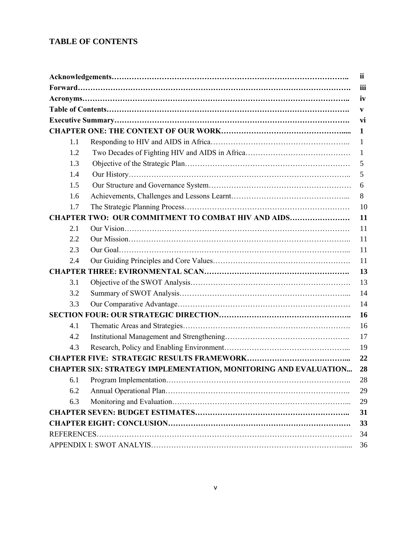## **TABLE OF CONTENTS**

|                                                                        | ii  |
|------------------------------------------------------------------------|-----|
|                                                                        | iii |
|                                                                        | iv  |
|                                                                        | V   |
|                                                                        | vi  |
|                                                                        | 1   |
| 1.1                                                                    | 1   |
| 1.2                                                                    | 1   |
| 1.3                                                                    | 5   |
| 1.4                                                                    | 5   |
| 1.5                                                                    | 6   |
| 1.6                                                                    | 8   |
| 1.7                                                                    | 10  |
| <b>CHAPTER TWO: OUR COMMITMENT TO COMBAT HIV AND AIDS</b>              | 11  |
| 2.1                                                                    | 11  |
| 2.2                                                                    | 11  |
| 2.3                                                                    | 11  |
| 2.4                                                                    | 11  |
|                                                                        | 13  |
| 3.1                                                                    | 13  |
| 3.2                                                                    | 14  |
| 3.3                                                                    | 14  |
|                                                                        | 16  |
| 4.1                                                                    | 16  |
| 4.2                                                                    | 17  |
| 4.3                                                                    | 19  |
|                                                                        | 22  |
| <b>CHAPTER SIX: STRATEGY IMPLEMENTATION, MONITORING AND EVALUATION</b> | 28  |
| 6.1                                                                    | 28  |
| 6.2                                                                    | 29  |
| 6.3                                                                    | 29  |
|                                                                        | 31  |
|                                                                        | 33  |
|                                                                        | 34  |
|                                                                        | 36  |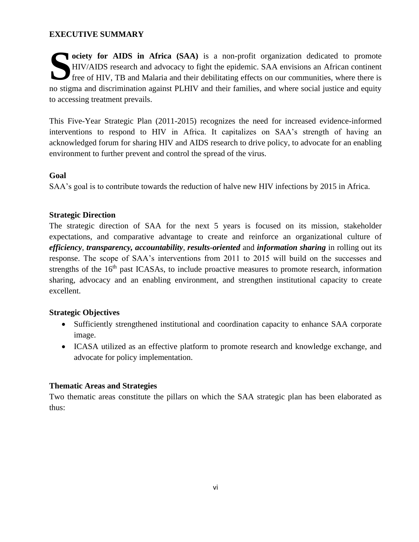## **EXECUTIVE SUMMARY**

**ociety for AIDS in Africa (SAA)** is a non-profit organization dedicated to promote HIV/AIDS research and advocacy to fight the epidemic. SAA envisions an African continent free of HIV, TB and Malaria and their debilitatin HIV/AIDS research and advocacy to fight the epidemic. SAA envisions an African continent **T** free of HIV, TB and Malaria and their debilitating effects on our communities, where there is no stigma and discrimination against PLHIV and their families, and where social justice and equity to accessing treatment prevails.

This Five-Year Strategic Plan (2011-2015) recognizes the need for increased evidence-informed interventions to respond to HIV in Africa. It capitalizes on SAA's strength of having an acknowledged forum for sharing HIV and AIDS research to drive policy, to advocate for an enabling environment to further prevent and control the spread of the virus.

## **Goal**

SAA's goal is to contribute towards the reduction of halve new HIV infections by 2015 in Africa.

## **Strategic Direction**

The strategic direction of SAA for the next 5 years is focused on its mission, stakeholder expectations, and comparative advantage to create and reinforce an organizational culture of *efficiency*, *transparency, accountability*, *results-oriented* and *information sharing* in rolling out its response. The scope of SAA's interventions from 2011 to 2015 will build on the successes and strengths of the  $16<sup>th</sup>$  past ICASAs, to include proactive measures to promote research, information sharing, advocacy and an enabling environment, and strengthen institutional capacity to create excellent.

## **Strategic Objectives**

- Sufficiently strengthened institutional and coordination capacity to enhance SAA corporate image.
- ICASA utilized as an effective platform to promote research and knowledge exchange, and advocate for policy implementation.

## **Thematic Areas and Strategies**

Two thematic areas constitute the pillars on which the SAA strategic plan has been elaborated as thus: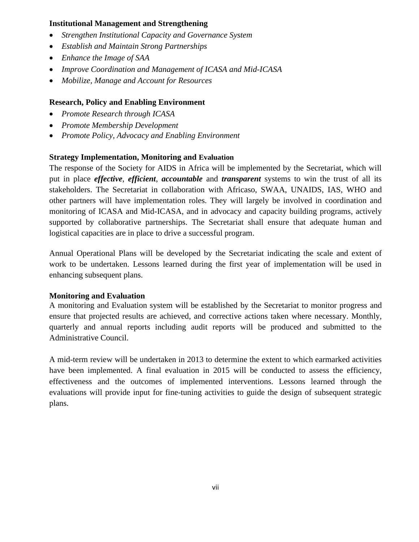## **Institutional Management and Strengthening**

- *Strengthen Institutional Capacity and Governance System*
- *Establish and Maintain Strong Partnerships*
- *Enhance the Image of SAA*
- *Improve Coordination and Management of ICASA and Mid-ICASA*
- *Mobilize, Manage and Account for Resources*

## **Research, Policy and Enabling Environment**

- *Promote Research through ICASA*
- *Promote Membership Development*
- *Promote Policy, Advocacy and Enabling Environment*

## **Strategy Implementation, Monitoring and Evaluation**

The response of the Society for AIDS in Africa will be implemented by the Secretariat, which will put in place *effective*, *efficient*, *accountable* and *transparent* systems to win the trust of all its stakeholders. The Secretariat in collaboration with Africaso, SWAA, UNAIDS, IAS, WHO and other partners will have implementation roles. They will largely be involved in coordination and monitoring of ICASA and Mid-ICASA, and in advocacy and capacity building programs, actively supported by collaborative partnerships. The Secretariat shall ensure that adequate human and logistical capacities are in place to drive a successful program.

Annual Operational Plans will be developed by the Secretariat indicating the scale and extent of work to be undertaken. Lessons learned during the first year of implementation will be used in enhancing subsequent plans.

## **Monitoring and Evaluation**

A monitoring and Evaluation system will be established by the Secretariat to monitor progress and ensure that projected results are achieved, and corrective actions taken where necessary. Monthly, quarterly and annual reports including audit reports will be produced and submitted to the Administrative Council.

A mid-term review will be undertaken in 2013 to determine the extent to which earmarked activities have been implemented. A final evaluation in 2015 will be conducted to assess the efficiency, effectiveness and the outcomes of implemented interventions. Lessons learned through the evaluations will provide input for fine-tuning activities to guide the design of subsequent strategic plans.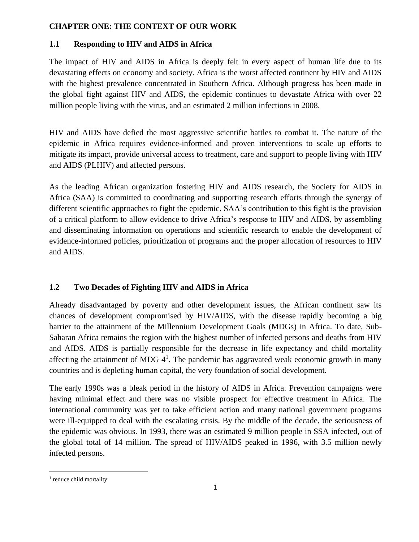## **CHAPTER ONE: THE CONTEXT OF OUR WORK**

## **1.1 Responding to HIV and AIDS in Africa**

The impact of HIV and AIDS in Africa is deeply felt in every aspect of human life due to its devastating effects on economy and society. Africa is the worst affected continent by HIV and AIDS with the highest prevalence concentrated in Southern Africa. Although progress has been made in the global fight against HIV and AIDS, the epidemic continues to devastate Africa with over 22 million people living with the virus, and an estimated 2 million infections in 2008.

HIV and AIDS have defied the most aggressive scientific battles to combat it. The nature of the epidemic in Africa requires evidence-informed and proven interventions to scale up efforts to mitigate its impact, provide universal access to treatment, care and support to people living with HIV and AIDS (PLHIV) and affected persons.

As the leading African organization fostering HIV and AIDS research, the Society for AIDS in Africa (SAA) is committed to coordinating and supporting research efforts through the synergy of different scientific approaches to fight the epidemic. SAA's contribution to this fight is the provision of a critical platform to allow evidence to drive Africa's response to HIV and AIDS, by assembling and disseminating information on operations and scientific research to enable the development of evidence-informed policies, prioritization of programs and the proper allocation of resources to HIV and AIDS.

## **1.2 Two Decades of Fighting HIV and AIDS in Africa**

Already disadvantaged by poverty and other development issues, the African continent saw its chances of development compromised by HIV/AIDS, with the disease rapidly becoming a big barrier to the attainment of the Millennium Development Goals (MDGs) in Africa. To date, Sub-Saharan Africa remains the region with the highest number of infected persons and deaths from HIV and AIDS. AIDS is partially responsible for the decrease in life expectancy and child mortality affecting the attainment of MDG  $4<sup>1</sup>$ . The pandemic has aggravated weak economic growth in many countries and is depleting human capital, the very foundation of social development.

The early 1990s was a bleak period in the history of AIDS in Africa. Prevention campaigns were having minimal effect and there was no visible prospect for effective treatment in Africa. The international community was yet to take efficient action and many national government programs were ill-equipped to deal with the escalating crisis. By the middle of the decade, the seriousness of the epidemic was obvious. In 1993, there was an estimated 9 million people in SSA infected, out of the global total of 14 million. The spread of HIV/AIDS peaked in 1996, with 3.5 million newly infected persons.

<sup>&</sup>lt;sup>1</sup> reduce child mortality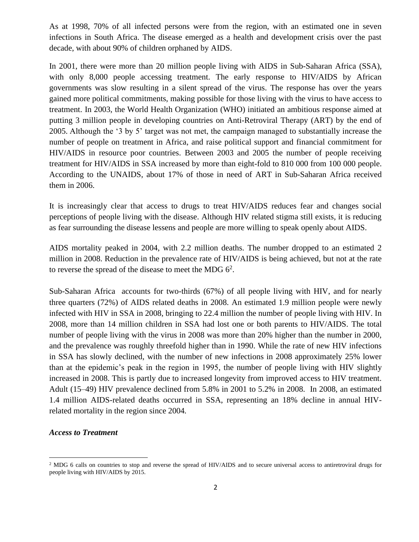As at 1998, 70% of all infected persons were from the region, with an estimated one in seven infections in South Africa. The disease emerged as a health and development crisis over the past decade, with about 90% of children orphaned by AIDS.

In 2001, there were more than 20 million people living with AIDS in Sub-Saharan Africa (SSA), with only 8,000 people accessing treatment. The early response to HIV/AIDS by African governments was slow resulting in a silent spread of the virus. The response has over the years gained more political commitments, making possible for those living with the virus to have access to treatment. In 2003, the World Health Organization (WHO) initiated an ambitious response aimed at putting 3 million people in developing countries on Anti-Retroviral Therapy (ART) by the end of 2005. Although the '3 by 5' target was not met, the campaign managed to substantially increase the number of people on treatment in Africa, and raise political support and financial commitment for HIV/AIDS in resource poor countries. Between 2003 and 2005 the number of people receiving treatment for HIV/AIDS in SSA increased by more than eight-fold to 810 000 from 100 000 people. According to the UNAIDS, about 17% of those in need of ART in Sub-Saharan Africa received them in 2006.

It is increasingly clear that access to drugs to treat HIV/AIDS reduces fear and changes social perceptions of people living with the disease. Although HIV related stigma still exists, it is reducing as fear surrounding the disease lessens and people are more willing to speak openly about AIDS.

AIDS mortality peaked in 2004, with 2.2 million deaths. The number dropped to an estimated 2 million in 2008. Reduction in the prevalence rate of HIV/AIDS is being achieved, but not at the rate to reverse the spread of the disease to meet the MDG  $6^2$ .

Sub-Saharan Africa accounts for two-thirds (67%) of all people living with HIV, and for nearly three quarters (72%) of AIDS related deaths in 2008. An estimated 1.9 million people were newly infected with HIV in SSA in 2008, bringing to 22.4 million the number of people living with HIV. In 2008, more than 14 million children in SSA had lost one or both parents to HIV/AIDS. The total number of people living with the virus in 2008 was more than 20% higher than the number in 2000, and the prevalence was roughly threefold higher than in 1990. While the rate of new HIV infections in SSA has slowly declined, with the number of new infections in 2008 approximately 25% lower than at the epidemic's peak in the region in 1995, the number of people living with HIV slightly increased in 2008. This is partly due to increased longevity from improved access to HIV treatment. Adult (15–49) HIV prevalence declined from 5.8% in 2001 to 5.2% in 2008. In 2008, an estimated 1.4 million AIDS-related deaths occurred in SSA, representing an 18% decline in annual HIVrelated mortality in the region since 2004*.* 

#### *Access to Treatment*

<sup>&</sup>lt;sup>2</sup> MDG 6 calls on countries to stop and reverse the spread of HIV/AIDS and to secure universal access to antiretroviral drugs for people living with HIV/AIDS by 2015.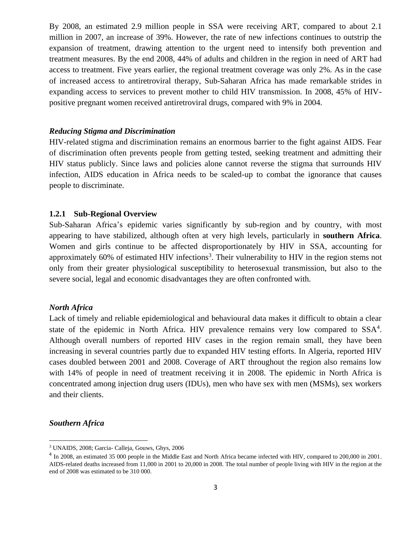By 2008, an estimated 2.9 million people in SSA were receiving ART, compared to about 2.1 million in 2007, an increase of 39%. However, the rate of new infections continues to outstrip the expansion of treatment, drawing attention to the urgent need to intensify both prevention and treatment measures. By the end 2008, 44% of adults and children in the region in need of ART had access to treatment. Five years earlier, the regional treatment coverage was only 2%. As in the case of increased access to antiretroviral therapy, Sub-Saharan Africa has made remarkable strides in expanding access to services to prevent mother to child HIV transmission. In 2008, 45% of HIVpositive pregnant women received antiretroviral drugs, compared with 9% in 2004.

#### *Reducing Stigma and Discrimination*

HIV-related [stigma and discrimination](http://www.avert.org/hiv-aids-stigma.htm) remains an enormous barrier to the fight against AIDS. Fear of discrimination often prevents people from getting tested, seeking treatment and admitting their HIV status publicly. Since laws and policies alone cannot reverse the stigma that surrounds HIV infection, AIDS education in Africa needs to be scaled-up to combat the ignorance that causes people to discriminate.

#### **1.2.1 Sub-Regional Overview**

Sub-Saharan Africa's epidemic varies significantly by sub-region and by country, with most appearing to have stabilized, although often at very high levels, particularly in **southern Africa**. Women and girls continue to be affected disproportionately by HIV in SSA, accounting for approximately 60% of estimated HIV infections<sup>3</sup>. Their vulnerability to HIV in the region stems not only from their greater physiological susceptibility to heterosexual transmission, but also to the severe social, legal and economic disadvantages they are often confronted with.

#### *North Africa*

Lack of timely and reliable epidemiological and behavioural data makes it difficult to obtain a clear state of the epidemic in North Africa. HIV prevalence remains very low compared to SSA<sup>4</sup>. Although overall numbers of reported HIV cases in the region remain small, they have been increasing in several countries partly due to expanded HIV testing efforts. In Algeria, reported HIV cases doubled between 2001 and 2008. Coverage of ART throughout the region also remains low with 14% of people in need of treatment receiving it in 2008. The epidemic in North Africa is concentrated among injection drug users (IDUs), men who have sex with men (MSMs), sex workers and their clients.

#### *Southern Africa*

<sup>3</sup> UNAIDS, 2008; Garcia- Calleja, Gouws, Ghys, 2006

<sup>&</sup>lt;sup>4</sup> In 2008, an estimated 35 000 people in the Middle East and North Africa became infected with HIV, compared to 200,000 in 2001. AIDS-related deaths increased from 11,000 in 2001 to 20,000 in 2008. The total number of people living with HIV in the region at the end of 2008 was estimated to be 310 000.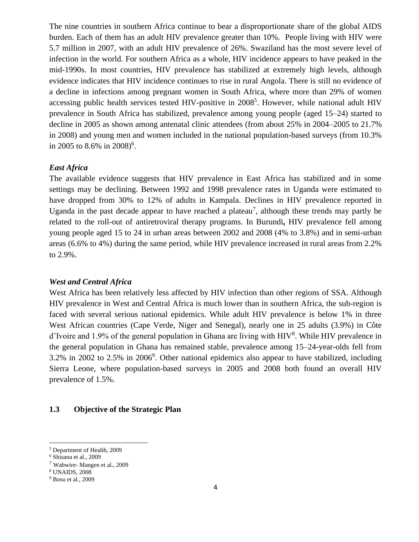The nine countries in southern Africa continue to bear a disproportionate share of the global AIDS burden. Each of them has an adult HIV prevalence greater than 10%. People living with HIV were 5.7 million in 2007, with an adult HIV prevalence of 26%. Swaziland has the most severe level of infection in the world. For southern Africa as a whole, HIV incidence appears to have peaked in the mid-1990s. In most countries, HIV prevalence has stabilized at extremely high levels, although evidence indicates that HIV incidence continues to rise in rural Angola. There is still no evidence of a decline in infections among pregnant women in South Africa, where more than 29% of women accessing public health services tested HIV-positive in 2008<sup>5</sup>. However, while national adult HIV prevalence in South Africa has stabilized, prevalence among young people (aged 15–24) started to decline in 2005 as shown among antenatal clinic attendees (from about 25% in 2004–2005 to 21.7% in 2008) and young men and women included in the national population-based surveys (from 10.3% in 2005 to 8.6% in 2008)<sup>6</sup>.

## *East Africa*

The available evidence suggests that HIV prevalence in East Africa has stabilized and in some settings may be declining. Between 1992 and 1998 prevalence rates in Uganda were estimated to have dropped from 30% to 12% of adults in Kampala. Declines in HIV prevalence reported in Uganda in the past decade appear to have reached a plateau<sup>7</sup>, although these trends may partly be related to the roll-out of antiretroviral therapy programs. In Burundi**,** HIV prevalence fell among young people aged 15 to 24 in urban areas between 2002 and 2008 (4% to 3.8%) and in semi-urban areas (6.6% to 4%) during the same period, while HIV prevalence increased in rural areas from 2.2% to 2.9%.

#### *West and Central Africa*

West Africa has been relatively less affected by HIV infection than other regions of SSA. Although HIV prevalence in West and Central Africa is much lower than in southern Africa, the sub-region is faced with several serious national epidemics. While adult HIV prevalence is below 1% in three West African countries (Cape Verde, Niger and Senegal), nearly one in 25 adults (3.9%) in Côte d'Ivoire and 1.9% of the general population in Ghana are living with  $HIV<sup>8</sup>$ . While  $HIV$  prevalence in the general population in Ghana has remained stable, prevalence among 15–24-year-olds fell from  $3.2\%$  in 2002 to 2.5% in 2006<sup>9</sup>. Other national epidemics also appear to have stabilized, including Sierra Leone, where population-based surveys in 2005 and 2008 both found an overall HIV prevalence of 1.5%.

#### **1.3 Objective of the Strategic Plan**

<sup>5</sup> Department of Health, 2009

<sup>6</sup> Shisana et al., 2009

<sup>7</sup> Wabwire- Mangen et al., 2009

<sup>8</sup> UNAIDS, 2008

<sup>9</sup> Bosu et al., 2009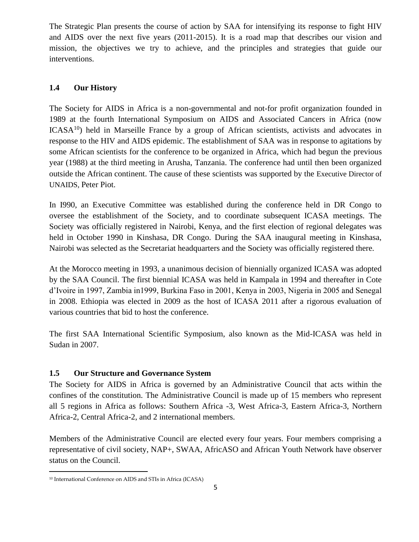The Strategic Plan presents the course of action by SAA for intensifying its response to fight HIV and AIDS over the next five years (2011-2015). It is a road map that describes our vision and mission, the objectives we try to achieve, and the principles and strategies that guide our interventions.

## **1.4 Our History**

The Society for AIDS in Africa is a non-governmental and not-for profit organization founded in 1989 at the fourth International Symposium on AIDS and Associated Cancers in Africa (now  $ICASA<sup>10</sup>$  held in Marseille France by a group of African scientists, activists and advocates in response to the HIV and AIDS epidemic. The establishment of SAA was in response to agitations by some African scientists for the conference to be organized in Africa, which had begun the previous year (1988) at the third meeting in Arusha, Tanzania. The conference had until then been organized outside the African continent. The cause of these scientists was supported by the Executive Director of UNAIDS, Peter Piot.

In I990, an Executive Committee was established during the conference held in DR Congo to oversee the establishment of the Society, and to coordinate subsequent ICASA meetings. The Society was officially registered in Nairobi, Kenya, and the first election of regional delegates was held in October 1990 in Kinshasa, DR Congo. During the SAA inaugural meeting in Kinshasa, Nairobi was selected as the Secretariat headquarters and the Society was officially registered there.

At the Morocco meeting in 1993, a unanimous decision of biennially organized ICASA was adopted by the SAA Council. The first biennial ICASA was held in Kampala in 1994 and thereafter in Cote d'Ivoire in 1997, Zambia in1999, Burkina Faso in 2001, Kenya in 2003, Nigeria in 2005 and Senegal in 2008. Ethiopia was elected in 2009 as the host of ICASA 2011 after a rigorous evaluation of various countries that bid to host the conference.

The first SAA International Scientific Symposium, also known as the Mid-ICASA was held in Sudan in 2007.

## **1.5 Our Structure and Governance System**

The Society for AIDS in Africa is governed by an Administrative Council that acts within the confines of the constitution. The Administrative Council is made up of 15 members who represent all 5 regions in Africa as follows: Southern Africa -3, West Africa-3, Eastern Africa-3, Northern Africa-2, Central Africa-2, and 2 international members.

Members of the Administrative Council are elected every four years. Four members comprising a representative of civil society, NAP+, SWAA, AfricASO and African Youth Network have observer status on the Council.

<sup>10</sup> International Conference on AIDS and STIs in Africa (ICASA)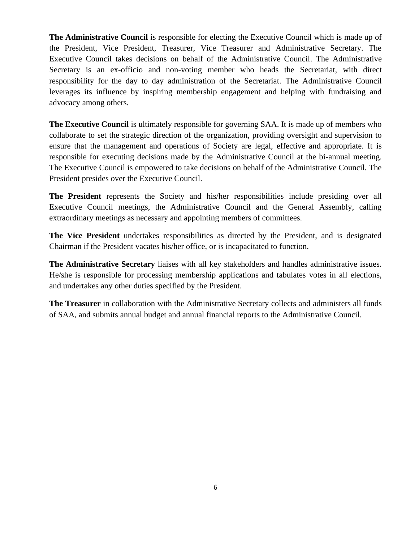**The Administrative Council** is responsible for electing the Executive Council which is made up of the President, Vice President, Treasurer, Vice Treasurer and Administrative Secretary. The Executive Council takes decisions on behalf of the Administrative Council. The Administrative Secretary is an ex-officio and non-voting member who heads the Secretariat, with direct responsibility for the day to day administration of the Secretariat. The Administrative Council leverages its influence by inspiring membership engagement and helping with fundraising and advocacy among others.

**The Executive Council** is ultimately responsible for governing SAA. It is made up of members who collaborate to set the strategic direction of the organization, providing oversight and supervision to ensure that the management and operations of Society are legal, effective and appropriate. It is responsible for executing decisions made by the Administrative Council at the bi-annual meeting. The Executive Council is empowered to take decisions on behalf of the Administrative Council. The President presides over the Executive Council.

**The President** represents the Society and his/her responsibilities include presiding over all Executive Council meetings, the Administrative Council and the General Assembly, calling extraordinary meetings as necessary and appointing members of committees.

**The Vice President** undertakes responsibilities as directed by the President, and is designated Chairman if the President vacates his/her office, or is incapacitated to function.

**The Administrative Secretary** liaises with all key stakeholders and handles administrative issues. He/she is responsible for processing membership applications and tabulates votes in all elections, and undertakes any other duties specified by the President.

**The Treasurer** in collaboration with the Administrative Secretary collects and administers all funds of SAA, and submits annual budget and annual financial reports to the Administrative Council.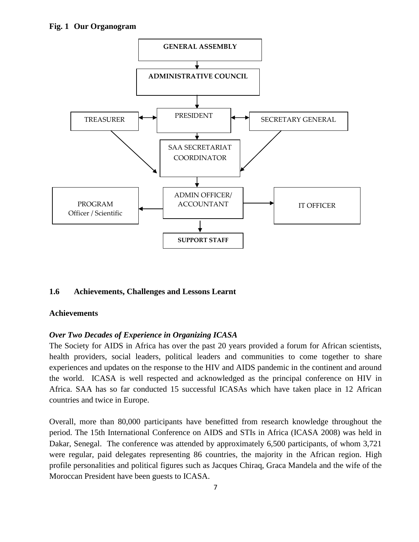

## **1.6 Achievements, Challenges and Lessons Learnt**

## **Achievements**

## *Over Two Decades of Experience in Organizing ICASA*

The Society for AIDS in Africa has over the past 20 years provided a forum for African scientists, health providers, social leaders, political leaders and communities to come together to share experiences and updates on the response to the HIV and AIDS pandemic in the continent and around the world. ICASA is well respected and acknowledged as the principal conference on HIV in Africa. SAA has so far conducted 15 successful ICASAs which have taken place in 12 African countries and twice in Europe.

Overall, more than 80,000 participants have benefitted from research knowledge throughout the period. The 15th International Conference on AIDS and STIs in Africa (ICASA 2008) was held in Dakar, Senegal. The conference was attended by approximately 6,500 participants, of whom 3,721 were regular, paid delegates representing 86 countries, the majority in the African region. High profile personalities and political figures such as Jacques Chiraq, Graca Mandela and the wife of the Moroccan President have been guests to ICASA.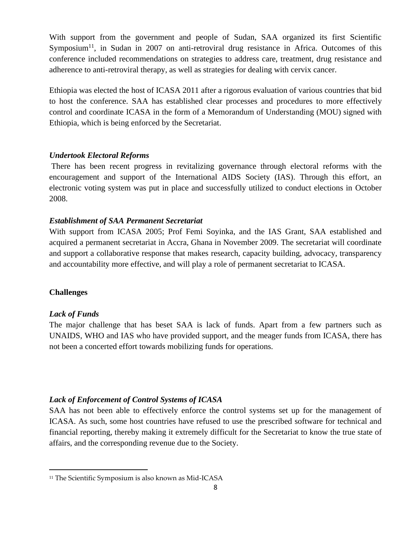With support from the government and people of Sudan, SAA organized its first Scientific Symposium<sup>11</sup>, in Sudan in 2007 on anti-retroviral drug resistance in Africa. Outcomes of this conference included recommendations on strategies to address care, treatment, drug resistance and adherence to anti-retroviral therapy, as well as strategies for dealing with cervix cancer.

Ethiopia was elected the host of ICASA 2011 after a rigorous evaluation of various countries that bid to host the conference. SAA has established clear processes and procedures to more effectively control and coordinate ICASA in the form of a Memorandum of Understanding (MOU) signed with Ethiopia, which is being enforced by the Secretariat.

## *Undertook Electoral Reforms*

There has been recent progress in revitalizing governance through electoral reforms with the encouragement and support of the International AIDS Society (IAS). Through this effort, an electronic voting system was put in place and successfully utilized to conduct elections in October 2008.

#### *Establishment of SAA Permanent Secretariat*

With support from ICASA 2005; Prof Femi Soyinka, and the IAS Grant, SAA established and acquired a permanent secretariat in Accra, Ghana in November 2009. The secretariat will coordinate and support a collaborative response that makes research, capacity building, advocacy, transparency and accountability more effective, and will play a role of permanent secretariat to ICASA.

#### **Challenges**

#### *Lack of Funds*

The major challenge that has beset SAA is lack of funds. Apart from a few partners such as UNAIDS, WHO and IAS who have provided support, and the meager funds from ICASA, there has not been a concerted effort towards mobilizing funds for operations.

#### *Lack of Enforcement of Control Systems of ICASA*

SAA has not been able to effectively enforce the control systems set up for the management of ICASA. As such, some host countries have refused to use the prescribed software for technical and financial reporting, thereby making it extremely difficult for the Secretariat to know the true state of affairs, and the corresponding revenue due to the Society.

<sup>&</sup>lt;sup>11</sup> The Scientific Symposium is also known as Mid-ICASA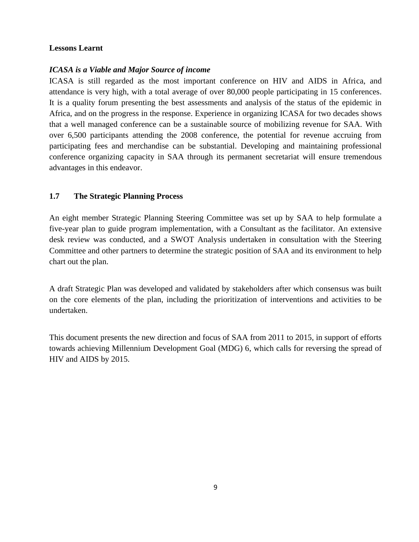#### **Lessons Learnt**

## *ICASA is a Viable and Major Source of income*

ICASA is still regarded as the most important conference on HIV and AIDS in Africa, and attendance is very high, with a total average of over 80,000 people participating in 15 conferences. It is a quality forum presenting the best assessments and analysis of the status of the epidemic in Africa, and on the progress in the response. Experience in organizing ICASA for two decades shows that a well managed conference can be a sustainable source of mobilizing revenue for SAA. With over 6,500 participants attending the 2008 conference, the potential for revenue accruing from participating fees and merchandise can be substantial. Developing and maintaining professional conference organizing capacity in SAA through its permanent secretariat will ensure tremendous advantages in this endeavor.

## **1.7 The Strategic Planning Process**

An eight member Strategic Planning Steering Committee was set up by SAA to help formulate a five-year plan to guide program implementation, with a Consultant as the facilitator. An extensive desk review was conducted, and a SWOT Analysis undertaken in consultation with the Steering Committee and other partners to determine the strategic position of SAA and its environment to help chart out the plan.

A draft Strategic Plan was developed and validated by stakeholders after which consensus was built on the core elements of the plan, including the prioritization of interventions and activities to be undertaken.

This document presents the new direction and focus of SAA from 2011 to 2015, in support of efforts towards achieving Millennium Development Goal (MDG) 6, which calls for reversing the spread of HIV and AIDS by 2015.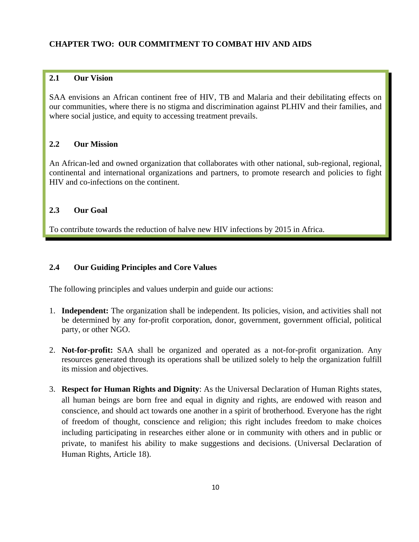## **CHAPTER TWO: OUR COMMITMENT TO COMBAT HIV AND AIDS**

#### **2.1 Our Vision**

SAA envisions an African continent free of HIV, TB and Malaria and their debilitating effects on our communities, where there is no stigma and discrimination against PLHIV and their families, and where social justice, and equity to accessing treatment prevails.

### **2.2 Our Mission**

An African-led and owned organization that collaborates with other national, sub-regional, regional, continental and international organizations and partners, to promote research and policies to fight HIV and co-infections on the continent.

#### **2.3 Our Goal**

To contribute towards the reduction of halve new HIV infections by 2015 in Africa.

## **2.4 Our Guiding Principles and Core Values**

The following principles and values underpin and guide our actions:

- 1. **Independent:** The organization shall be independent. Its policies, vision, and activities shall not be determined by any for-profit corporation, donor, government, government official, political party, or other NGO.
- 2. **Not-for-profit:** SAA shall be organized and operated as a not-for-profit organization. Any resources generated through its operations shall be utilized solely to help the organization fulfill its mission and objectives.
- 3. **Respect for Human Rights and Dignity**: As the Universal Declaration of Human Rights states, all human beings are born free and equal in dignity and rights, are endowed with reason and conscience, and should act towards one another in a spirit of brotherhood. Everyone has the right of freedom of thought, conscience and religion; this right includes freedom to make choices including participating in researches either alone or in community with others and in public or private, to manifest his ability to make suggestions and decisions. (Universal Declaration of Human Rights, Article 18).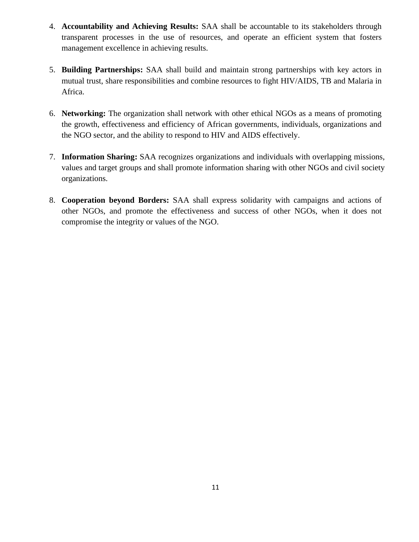- 4. **Accountability and Achieving Results:** SAA shall be accountable to its stakeholders through transparent processes in the use of resources, and operate an efficient system that fosters management excellence in achieving results.
- 5. **Building Partnerships:** SAA shall build and maintain strong partnerships with key actors in mutual trust, share responsibilities and combine resources to fight HIV/AIDS, TB and Malaria in Africa.
- 6. **Networking:** The organization shall network with other ethical NGOs as a means of promoting the growth, effectiveness and efficiency of African governments, individuals, organizations and the NGO sector, and the ability to respond to HIV and AIDS effectively.
- 7. **Information Sharing:** SAA recognizes organizations and individuals with overlapping missions, values and target groups and shall promote information sharing with other NGOs and civil society organizations.
- 8. **Cooperation beyond Borders:** SAA shall express solidarity with campaigns and actions of other NGOs, and promote the effectiveness and success of other NGOs, when it does not compromise the integrity or values of the NGO.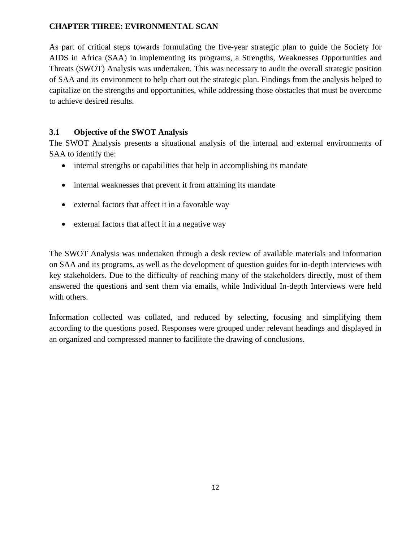## **CHAPTER THREE: EVIRONMENTAL SCAN**

As part of critical steps towards formulating the five-year strategic plan to guide the Society for AIDS in Africa (SAA) in implementing its programs, a Strengths, Weaknesses Opportunities and Threats (SWOT) Analysis was undertaken. This was necessary to audit the overall strategic position of SAA and its environment to help chart out the strategic plan. Findings from the analysis helped to capitalize on the strengths and opportunities, while addressing those obstacles that must be overcome to achieve desired results.

## **3.1 Objective of the SWOT Analysis**

The SWOT Analysis presents a situational analysis of the internal and external environments of SAA to identify the:

- internal strengths or capabilities that help in accomplishing its mandate
- internal weaknesses that prevent it from attaining its mandate
- external factors that affect it in a favorable way
- external factors that affect it in a negative way

The SWOT Analysis was undertaken through a desk review of available materials and information on SAA and its programs, as well as the development of question guides for in-depth interviews with key stakeholders. Due to the difficulty of reaching many of the stakeholders directly, most of them answered the questions and sent them via emails, while Individual In-depth Interviews were held with others.

Information collected was collated, and reduced by selecting, focusing and simplifying them according to the questions posed. Responses were grouped under relevant headings and displayed in an organized and compressed manner to facilitate the drawing of conclusions.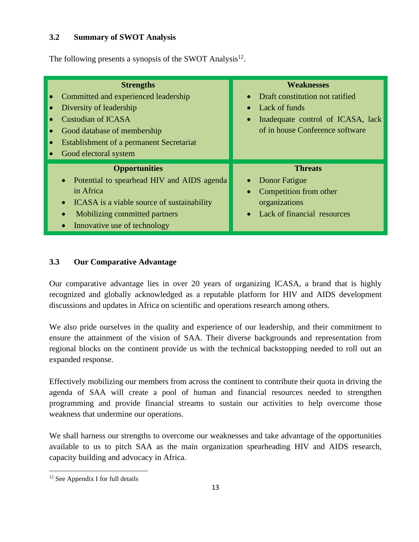## **3.2 Summary of SWOT Analysis**

The following presents a synopsis of the SWOT Analysis<sup>12</sup>.

| Diversity of leadership<br><b>Custodian of ICASA</b><br>Good electoral system | <b>Strengths</b><br>Committed and experienced leadership<br>Good database of membership<br><b>Establishment of a permanent Secretariat</b>                                        | <b>Weaknesses</b><br>Draft constitution not ratified<br>$\bullet$<br>Lack of funds<br>$\bullet$<br>Inadequate control of ICASA, lack<br>$\bullet$<br>of in house Conference software |
|-------------------------------------------------------------------------------|-----------------------------------------------------------------------------------------------------------------------------------------------------------------------------------|--------------------------------------------------------------------------------------------------------------------------------------------------------------------------------------|
| $\bullet$<br>in Africa<br>$\bullet$                                           | <b>Opportunities</b><br>Potential to spearhead HIV and AIDS agenda<br>ICASA is a viable source of sustainability<br>Mobilizing committed partners<br>Innovative use of technology | <b>Threats</b><br>Donor Fatigue<br>Competition from other<br>$\bullet$<br>organizations<br>Lack of financial resources<br>$\bullet$                                                  |

## **3.3 Our Comparative Advantage**

Our comparative advantage lies in over 20 years of organizing ICASA, a brand that is highly recognized and globally acknowledged as a reputable platform for HIV and AIDS development discussions and updates in Africa on scientific and operations research among others.

We also pride ourselves in the quality and experience of our leadership, and their commitment to ensure the attainment of the vision of SAA. Their diverse backgrounds and representation from regional blocks on the continent provide us with the technical backstopping needed to roll out an expanded response.

Effectively mobilizing our members from across the continent to contribute their quota in driving the agenda of SAA will create a pool of human and financial resources needed to strengthen programming and provide financial streams to sustain our activities to help overcome those weakness that undermine our operations.

We shall harness our strengths to overcome our weaknesses and take advantage of the opportunities available to us to pitch SAA as the main organization spearheading HIV and AIDS research, capacity building and advocacy in Africa.

<sup>12</sup> See Appendix I for full details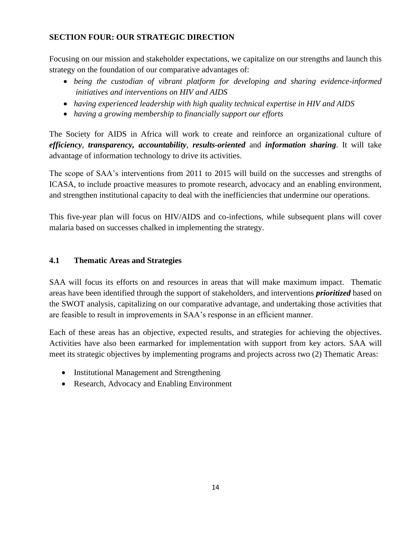## **SECTION FOUR: OUR STRATEGIC DIRECTION**

Focusing on our mission and stakeholder expectations, we capitalize on our strengths and launch this strategy on the foundation of our comparative advantages of:

- *being the custodian of vibrant platform for developing and sharing evidence-informed initiatives and interventions on HIV and AIDS*
- *having experienced leadership with high quality technical expertise in HIV and AIDS*
- *having a growing membership to financially support our efforts*

The Society for AIDS in Africa will work to create and reinforce an organizational culture of *efficiency*, *transparency, accountability*, *results-oriented* and *information sharing*. It will take advantage of information technology to drive its activities.

The scope of SAA's interventions from 2011 to 2015 will build on the successes and strengths of ICASA, to include proactive measures to promote research, advocacy and an enabling environment, and strengthen institutional capacity to deal with the inefficiencies that undermine our operations.

This five-year plan will focus on HIV/AIDS and co-infections, while subsequent plans will cover malaria based on successes chalked in implementing the strategy.

## **4.1 Thematic Areas and Strategies**

SAA will focus its efforts on and resources in areas that will make maximum impact. Thematic areas have been identified through the support of stakeholders, and interventions *prioritized* based on the SWOT analysis, capitalizing on our comparative advantage, and undertaking those activities that are feasible to result in improvements in SAA's response in an efficient manner.

Each of these areas has an objective, expected results, and strategies for achieving the objectives. Activities have also been earmarked for implementation with support from key actors. SAA will meet its strategic objectives by implementing programs and projects across two (2) Thematic Areas:

- Institutional Management and Strengthening
- Research, Advocacy and Enabling Environment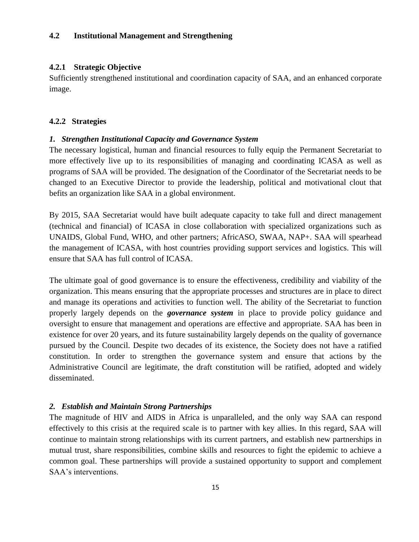## **4.2 Institutional Management and Strengthening**

#### **4.2.1 Strategic Objective**

Sufficiently strengthened institutional and coordination capacity of SAA, and an enhanced corporate image.

#### **4.2.2 Strategies**

#### *1. Strengthen Institutional Capacity and Governance System*

The necessary logistical, human and financial resources to fully equip the Permanent Secretariat to more effectively live up to its responsibilities of managing and coordinating ICASA as well as programs of SAA will be provided. The designation of the Coordinator of the Secretariat needs to be changed to an Executive Director to provide the leadership, political and motivational clout that befits an organization like SAA in a global environment.

By 2015, SAA Secretariat would have built adequate capacity to take full and direct management (technical and financial) of ICASA in close collaboration with specialized organizations such as UNAIDS, Global Fund, WHO, and other partners; AfricASO, SWAA, NAP+. SAA will spearhead the management of ICASA, with host countries providing support services and logistics. This will ensure that SAA has full control of ICASA.

The ultimate goal of good governance is to ensure the effectiveness, credibility and viability of the organization. This means ensuring that the appropriate processes and structures are in place to direct and manage its operations and activities to function well. The ability of the Secretariat to function properly largely depends on the *governance system* in place to provide policy guidance and oversight to ensure that management and operations are effective and appropriate. SAA has been in existence for over 20 years, and its future sustainability largely depends on the quality of governance pursued by the Council. Despite two decades of its existence, the Society does not have a ratified constitution. In order to strengthen the governance system and ensure that actions by the Administrative Council are legitimate, the draft constitution will be ratified, adopted and widely disseminated.

#### *2. Establish and Maintain Strong Partnerships*

The magnitude of HIV and AIDS in Africa is unparalleled, and the only way SAA can respond effectively to this crisis at the required scale is to partner with key allies. In this regard, SAA will continue to maintain strong relationships with its current partners, and establish new partnerships in mutual trust, share responsibilities, combine skills and resources to fight the epidemic to achieve a common goal. These partnerships will provide a sustained opportunity to support and complement SAA's interventions.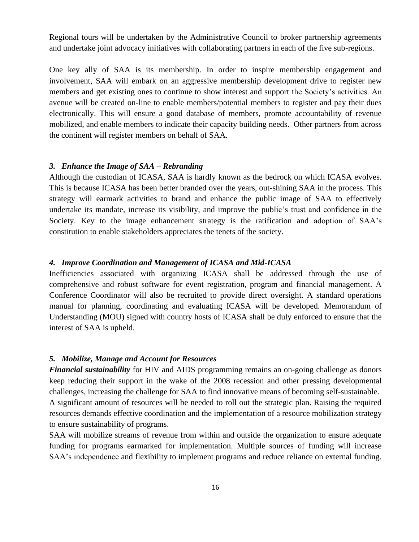Regional tours will be undertaken by the Administrative Council to broker partnership agreements and undertake joint advocacy initiatives with collaborating partners in each of the five sub-regions.

One key ally of SAA is its membership. In order to inspire membership engagement and involvement, SAA will embark on an aggressive membership development drive to register new members and get existing ones to continue to show interest and support the Society's activities. An avenue will be created on-line to enable members/potential members to register and pay their dues electronically. This will ensure a good database of members, promote accountability of revenue mobilized, and enable members to indicate their capacity building needs. Other partners from across the continent will register members on behalf of SAA.

#### *3. Enhance the Image of SAA – Rebranding*

Although the custodian of ICASA, SAA is hardly known as the bedrock on which ICASA evolves. This is because ICASA has been better branded over the years, out-shining SAA in the process. This strategy will earmark activities to brand and enhance the public image of SAA to effectively undertake its mandate, increase its visibility, and improve the public's trust and confidence in the Society. Key to the image enhancement strategy is the ratification and adoption of SAA's constitution to enable stakeholders appreciates the tenets of the society.

#### *4. Improve Coordination and Management of ICASA and Mid-ICASA*

Inefficiencies associated with organizing ICASA shall be addressed through the use of comprehensive and robust software for event registration, program and financial management. A Conference Coordinator will also be recruited to provide direct oversight. A standard operations manual for planning, coordinating and evaluating ICASA will be developed. Memorandum of Understanding (MOU) signed with country hosts of ICASA shall be duly enforced to ensure that the interest of SAA is upheld.

#### *5. Mobilize, Manage and Account for Resources*

*Financial sustainability* for HIV and AIDS programming remains an on-going challenge as donors keep reducing their support in the wake of the 2008 recession and other pressing developmental challenges, increasing the challenge for SAA to find innovative means of becoming self-sustainable. A significant amount of resources will be needed to roll out the strategic plan. Raising the required resources demands effective coordination and the implementation of a resource mobilization strategy to ensure sustainability of programs.

SAA will mobilize streams of revenue from within and outside the organization to ensure adequate funding for programs earmarked for implementation. Multiple sources of funding will increase SAA's independence and flexibility to implement programs and reduce reliance on external funding.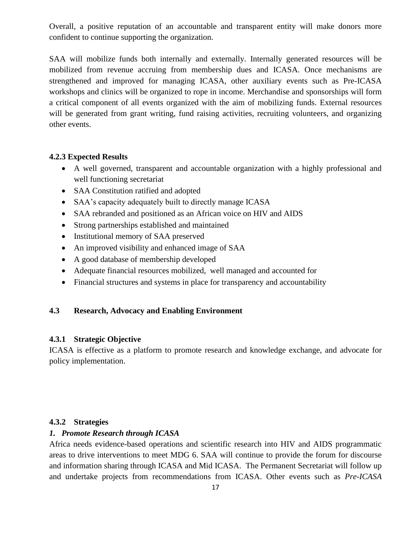Overall, a positive reputation of an accountable and transparent entity will make donors more confident to continue supporting the organization.

SAA will mobilize funds both internally and externally. Internally generated resources will be mobilized from revenue accruing from membership dues and ICASA. Once mechanisms are strengthened and improved for managing ICASA, other auxiliary events such as Pre-ICASA workshops and clinics will be organized to rope in income. Merchandise and sponsorships will form a critical component of all events organized with the aim of mobilizing funds. External resources will be generated from grant writing, fund raising activities, recruiting volunteers, and organizing other events.

## **4.2.3 Expected Results**

- A well governed, transparent and accountable organization with a highly professional and well functioning secretariat
- SAA Constitution ratified and adopted
- SAA's capacity adequately built to directly manage ICASA
- SAA rebranded and positioned as an African voice on HIV and AIDS
- Strong partnerships established and maintained
- Institutional memory of SAA preserved
- An improved visibility and enhanced image of SAA
- A good database of membership developed
- Adequate financial resources mobilized, well managed and accounted for
- Financial structures and systems in place for transparency and accountability

## **4.3 Research, Advocacy and Enabling Environment**

## **4.3.1 Strategic Objective**

ICASA is effective as a platform to promote research and knowledge exchange, and advocate for policy implementation.

## **4.3.2 Strategies**

## *1. Promote Research through ICASA*

Africa needs evidence-based operations and scientific research into HIV and AIDS programmatic areas to drive interventions to meet MDG 6. SAA will continue to provide the forum for discourse and information sharing through ICASA and Mid ICASA. The Permanent Secretariat will follow up and undertake projects from recommendations from ICASA. Other events such as *Pre-ICASA*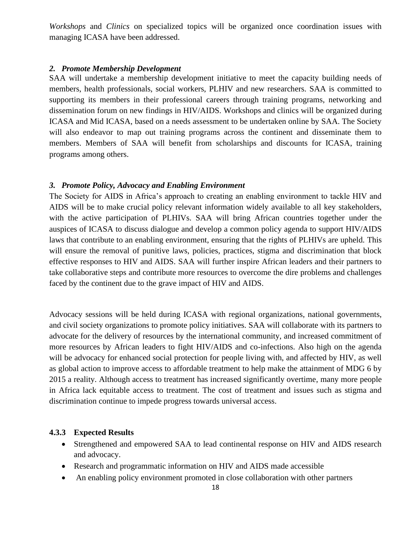*Workshops* and *Clinics* on specialized topics will be organized once coordination issues with managing ICASA have been addressed.

#### *2. Promote Membership Development*

SAA will undertake a membership development initiative to meet the capacity building needs of members, health professionals, social workers, PLHIV and new researchers. SAA is committed to supporting its members in their professional careers through training programs, networking and dissemination forum on new findings in HIV/AIDS. Workshops and clinics will be organized during ICASA and Mid ICASA, based on a needs assessment to be undertaken online by SAA. The Society will also endeavor to map out training programs across the continent and disseminate them to members. Members of SAA will benefit from scholarships and discounts for ICASA, training programs among others.

#### *3. Promote Policy, Advocacy and Enabling Environment*

The Society for AIDS in Africa's approach to creating an enabling environment to tackle HIV and AIDS will be to make crucial policy relevant information widely available to all key stakeholders, with the active participation of PLHIVs. SAA will bring African countries together under the auspices of ICASA to discuss dialogue and develop a common policy agenda to support HIV/AIDS laws that contribute to an enabling environment, ensuring that the rights of PLHIVs are upheld. This will ensure the removal of punitive laws, policies, practices, stigma and discrimination that block effective responses to HIV and AIDS. SAA will further inspire African leaders and their partners to take collaborative steps and contribute more resources to overcome the dire problems and challenges faced by the continent due to the grave impact of HIV and AIDS.

Advocacy sessions will be held during ICASA with regional organizations, national governments, and civil society organizations to promote policy initiatives. SAA will collaborate with its partners to advocate for the delivery of resources by the international community, and increased commitment of more resources by African leaders to fight HIV/AIDS and co-infections. Also high on the agenda will be advocacy for enhanced social protection for people living with, and affected by HIV, as well as global action to improve access to affordable treatment to help make the attainment of MDG 6 by 2015 a reality. Although access to treatment has increased significantly overtime, many more people in Africa lack equitable access to treatment. The cost of treatment and issues such as stigma and discrimination continue to impede progress towards universal access.

#### **4.3.3 Expected Results**

- Strengthened and empowered SAA to lead continental response on HIV and AIDS research and advocacy.
- Research and programmatic information on HIV and AIDS made accessible
- An enabling policy environment promoted in close collaboration with other partners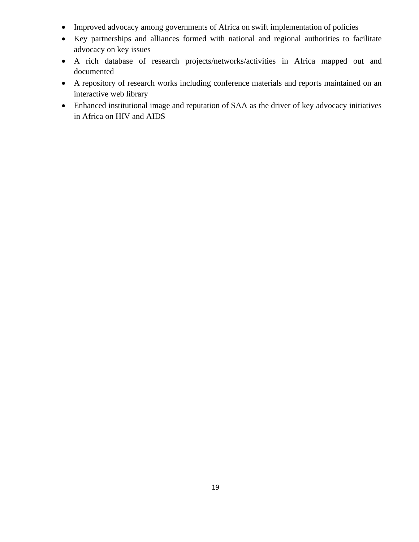- Improved advocacy among governments of Africa on swift implementation of policies
- Key partnerships and alliances formed with national and regional authorities to facilitate advocacy on key issues
- A rich database of research projects/networks/activities in Africa mapped out and documented
- A repository of research works including conference materials and reports maintained on an interactive web library
- Enhanced institutional image and reputation of SAA as the driver of key advocacy initiatives in Africa on HIV and AIDS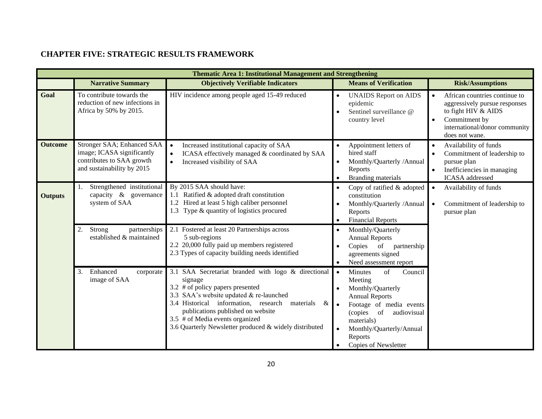## **CHAPTER FIVE: STRATEGIC RESULTS FRAMEWORK**

|                | <b>Thematic Area 1: Institutional Management and Strengthening</b>                                                  |                                                                                                                                                                                                                                                                                                                                             |                                                                                                                                                                                                                                                  |                                                                                                                                                                        |  |  |  |
|----------------|---------------------------------------------------------------------------------------------------------------------|---------------------------------------------------------------------------------------------------------------------------------------------------------------------------------------------------------------------------------------------------------------------------------------------------------------------------------------------|--------------------------------------------------------------------------------------------------------------------------------------------------------------------------------------------------------------------------------------------------|------------------------------------------------------------------------------------------------------------------------------------------------------------------------|--|--|--|
|                | <b>Narrative Summary</b>                                                                                            | <b>Objectively Verifiable Indicators</b>                                                                                                                                                                                                                                                                                                    | <b>Means of Verification</b>                                                                                                                                                                                                                     | <b>Risk/Assumptions</b>                                                                                                                                                |  |  |  |
| Goal           | To contribute towards the<br>reduction of new infections in<br>Africa by 50% by 2015.                               | HIV incidence among people aged 15-49 reduced                                                                                                                                                                                                                                                                                               | <b>UNAIDS</b> Report on AIDS<br>epidemic<br>Sentinel surveillance @<br>country level                                                                                                                                                             | African countries continue to<br>aggressively pursue responses<br>to fight HIV & AIDS<br>Commitment by<br>$\bullet$<br>international/donor community<br>does not wane. |  |  |  |
| <b>Outcome</b> | Stronger SAA; Enhanced SAA<br>image; ICASA significantly<br>contributes to SAA growth<br>and sustainability by 2015 | Increased institutional capacity of SAA<br>$\bullet$<br>ICASA effectively managed & coordinated by SAA<br>$\bullet$<br>Increased visibility of SAA<br>$\bullet$                                                                                                                                                                             | Appointment letters of<br>hired staff<br>Monthly/Quarterly /Annual<br>Reports<br>Branding materials                                                                                                                                              | Availability of funds<br>Commitment of leadership to<br>$\bullet$<br>pursue plan<br>Inefficiencies in managing<br><b>ICASA</b> addressed                               |  |  |  |
| <b>Outputs</b> | Strengthened institutional<br>capacity & governance<br>system of SAA                                                | By 2015 SAA should have:<br>Copy of ratified & adopted<br>$\bullet$<br>1.1 Ratified & adopted draft constitution<br>constitution<br>1.2 Hired at least 5 high caliber personnel<br>Monthly/Quarterly /Annual<br>1.3 Type & quantity of logistics procured<br>Reports<br><b>Financial Reports</b>                                            |                                                                                                                                                                                                                                                  | Availability of funds<br>$\bullet$<br>Commitment of leadership to<br>$\bullet$<br>pursue plan                                                                          |  |  |  |
|                | Strong<br>partnerships<br>established & maintained                                                                  | 2.1 Fostered at least 20 Partnerships across<br>5 sub-regions<br>2.2 20,000 fully paid up members registered<br>2.3 Types of capacity building needs identified                                                                                                                                                                             | Monthly/Quarterly<br>$\bullet$<br><b>Annual Reports</b><br>Copies of partnership<br>agreements signed<br>Need assessment report                                                                                                                  |                                                                                                                                                                        |  |  |  |
|                | Enhanced<br>3.<br>corporate<br>image of SAA                                                                         | 3.1 SAA Secretariat branded with logo & directional<br>signage<br>3.2 # of policy papers presented<br>3.3 SAA's website updated $&$ re-launched<br>3.4 Historical information, research<br>materials<br>&<br>publications published on website<br>3.5 # of Media events organized<br>3.6 Quarterly Newsletter produced & widely distributed | Minutes<br>of<br>Council<br>$\bullet$<br>Meeting<br>Monthly/Quarterly<br><b>Annual Reports</b><br>Footage of media events<br>$\bullet$<br>(copies of<br>audiovisual<br>materials)<br>Monthly/Quarterly/Annual<br>Reports<br>Copies of Newsletter |                                                                                                                                                                        |  |  |  |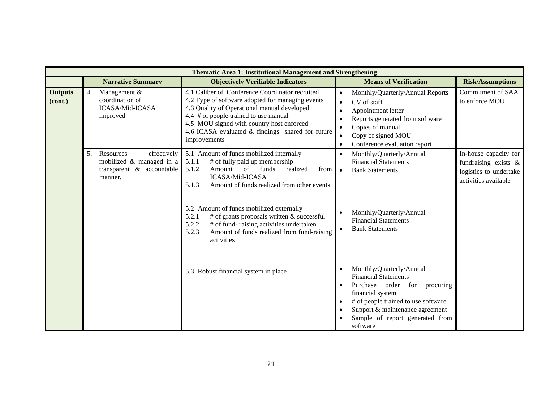|                                      | <b>Thematic Area 1: Institutional Management and Strengthening</b>                                             |                                                                                                                                                                                                                                                                                                                                                                                                                                                |                                                                                                                                                                                                                                                         |                                                                                                    |  |  |  |  |
|--------------------------------------|----------------------------------------------------------------------------------------------------------------|------------------------------------------------------------------------------------------------------------------------------------------------------------------------------------------------------------------------------------------------------------------------------------------------------------------------------------------------------------------------------------------------------------------------------------------------|---------------------------------------------------------------------------------------------------------------------------------------------------------------------------------------------------------------------------------------------------------|----------------------------------------------------------------------------------------------------|--|--|--|--|
|                                      | <b>Narrative Summary</b>                                                                                       | <b>Objectively Verifiable Indicators</b>                                                                                                                                                                                                                                                                                                                                                                                                       | <b>Means of Verification</b>                                                                                                                                                                                                                            | <b>Risk/Assumptions</b>                                                                            |  |  |  |  |
| <b>Outputs</b><br>(cont.)            | 4.<br>Management &<br>coordination of<br>ICASA/Mid-ICASA<br>improved                                           | 4.1 Caliber of Conference Coordinator recruited<br>4.2 Type of software adopted for managing events<br>4.3 Quality of Operational manual developed<br>4.4 # of people trained to use manual<br>4.5 MOU signed with country host enforced<br>4.6 ICASA evaluated & findings shared for future<br>improvements                                                                                                                                   | Monthly/Quarterly/Annual Reports<br>$\bullet$<br>CV of staff<br>$\bullet$<br>Appointment letter<br>$\bullet$<br>Reports generated from software<br>Copies of manual<br>$\bullet$<br>Copy of signed MOU<br>$\bullet$<br>Conference evaluation report     | <b>Commitment of SAA</b><br>to enforce MOU                                                         |  |  |  |  |
|                                      | Resources<br>effectively<br>5 <sub>1</sub><br>mobilized & managed in a<br>transparent & accountable<br>manner. | 5.1 Amount of funds mobilized internally<br>5.1.1<br># of fully paid up membership<br>5.1.2<br>of<br>funds<br>realized<br>Amount<br>from<br>ICASA/Mid-ICASA<br>Amount of funds realized from other events<br>5.1.3<br>5.2 Amount of funds mobilized externally<br># of grants proposals written & successful<br>5.2.1<br>5.2.2<br># of fund-raising activities undertaken<br>Amount of funds realized from fund-raising<br>5.2.3<br>activities | Monthly/Quarterly/Annual<br>$\bullet$<br><b>Financial Statements</b><br><b>Bank Statements</b><br>$\bullet$<br>Monthly/Quarterly/Annual<br><b>Financial Statements</b><br><b>Bank Statements</b><br>$\bullet$                                           | In-house capacity for<br>fundraising exists $\&$<br>logistics to undertake<br>activities available |  |  |  |  |
| 5.3 Robust financial system in place |                                                                                                                |                                                                                                                                                                                                                                                                                                                                                                                                                                                | Monthly/Quarterly/Annual<br><b>Financial Statements</b><br>Purchase order<br>for<br>procuring<br>financial system<br># of people trained to use software<br>$\bullet$<br>Support & maintenance agreement<br>Sample of report generated from<br>software |                                                                                                    |  |  |  |  |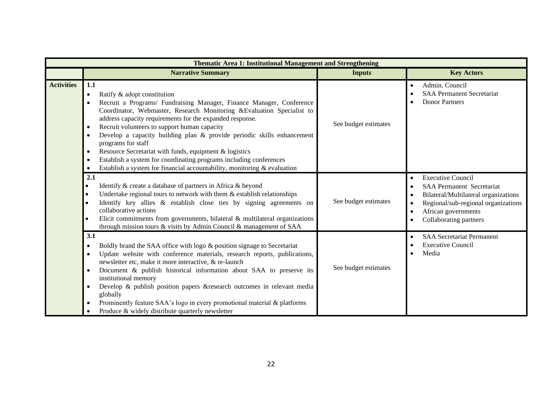|                   | <b>Thematic Area 1: Institutional Management and Strengthening</b>                                                                                                                                                                                                                                                                                                                                                                                                                                                                                                                                                                                                       |                      |                                                                                                                                                                                              |
|-------------------|--------------------------------------------------------------------------------------------------------------------------------------------------------------------------------------------------------------------------------------------------------------------------------------------------------------------------------------------------------------------------------------------------------------------------------------------------------------------------------------------------------------------------------------------------------------------------------------------------------------------------------------------------------------------------|----------------------|----------------------------------------------------------------------------------------------------------------------------------------------------------------------------------------------|
|                   | <b>Narrative Summary</b>                                                                                                                                                                                                                                                                                                                                                                                                                                                                                                                                                                                                                                                 | <b>Inputs</b>        | <b>Key Actors</b>                                                                                                                                                                            |
| <b>Activities</b> | 1.1<br>Ratify & adopt constitution<br>$\bullet$<br>Recruit a Programs/ Fundraising Manager, Finance Manager, Conference<br>Coordinator, Webmaster, Research Monitoring & Evaluation Specialist to<br>address capacity requirements for the expanded response.<br>Recruit volunteers to support human capacity<br>$\bullet$<br>Develop a capacity building plan & provide periodic skills enhancement<br>$\bullet$<br>programs for staff<br>Resource Secretariat with funds, equipment & logistics<br>$\bullet$<br>Establish a system for coordinating programs including conferences<br>٠<br>Establish a system for financial accountability, monitoring $\&$ evaluation | See budget estimates | Admin. Council<br><b>SAA Permanent Secretariat</b><br><b>Donor Partners</b>                                                                                                                  |
|                   | 2.1<br>Identify & create a database of partners in Africa & beyond<br>Undertake regional tours to network with them $\&$ establish relationships<br>$\bullet$<br>Identify key allies $\&$ establish close ties by signing agreements on<br>collaborative actions<br>Elicit commitments from governments, bilateral $\&$ multilateral organizations<br>through mission tours & visits by Admin Council & management of SAA                                                                                                                                                                                                                                                | See budget estimates | <b>Executive Council</b><br><b>SAA Permanent Secretariat</b><br>Bilateral/Multilateral organizations<br>Regional/sub-regional organizations<br>African governments<br>Collaborating partners |
|                   | 3.1<br>Boldly brand the SAA office with logo & position signage to Secretariat<br>٠<br>Update website with conference materials, research reports, publications,<br>$\bullet$<br>newsletter etc, make it more interactive, & re-launch<br>Document & publish historical information about SAA to preserve its<br>$\bullet$<br>institutional memory<br>Develop & publish position papers & research outcomes in relevant media<br>$\bullet$<br>globally<br>Prominently feature SAA's logo in every promotional material & platforms<br>$\bullet$<br>Produce & widely distribute quarterly newsletter                                                                      | See budget estimates | <b>SAA Secretariat Permanent</b><br><b>Executive Council</b><br>Media                                                                                                                        |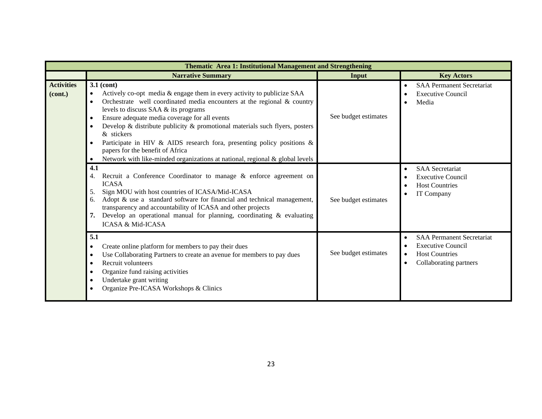|                              | Thematic Area 1: Institutional Management and Strengthening                                                                                                                                                                                                                                                                                                                                                                                                                                                                                                                                                                                  |                      |                                                                                                                 |  |  |  |  |  |
|------------------------------|----------------------------------------------------------------------------------------------------------------------------------------------------------------------------------------------------------------------------------------------------------------------------------------------------------------------------------------------------------------------------------------------------------------------------------------------------------------------------------------------------------------------------------------------------------------------------------------------------------------------------------------------|----------------------|-----------------------------------------------------------------------------------------------------------------|--|--|--|--|--|
|                              | <b>Narrative Summary</b>                                                                                                                                                                                                                                                                                                                                                                                                                                                                                                                                                                                                                     | Input                | <b>Key Actors</b>                                                                                               |  |  |  |  |  |
| <b>Activities</b><br>(cont.) | $3.1$ (cont)<br>Actively co-opt media & engage them in every activity to publicize SAA<br>$\bullet$<br>Orchestrate well coordinated media encounters at the regional $\&$ country<br>$\bullet$<br>levels to discuss SAA & its programs<br>Ensure adequate media coverage for all events<br>$\bullet$<br>Develop & distribute publicity $\&$ promotional materials such flyers, posters<br>$\bullet$<br>& stickers<br>Participate in HIV & AIDS research fora, presenting policy positions $\&$<br>$\bullet$<br>papers for the benefit of Africa<br>Network with like-minded organizations at national, regional & global levels<br>$\bullet$ | See budget estimates | <b>SAA Permanent Secretariat</b><br><b>Executive Council</b><br>Media                                           |  |  |  |  |  |
|                              | 4.1<br>Recruit a Conference Coordinator to manage & enforce agreement on<br>4.<br><b>ICASA</b><br>Sign MOU with host countries of ICASA/Mid-ICASA<br>5.<br>Adopt & use a standard software for financial and technical management,<br>6.<br>transparency and accountability of ICASA and other projects<br>7. Develop an operational manual for planning, coordinating & evaluating<br><b>ICASA &amp; Mid-ICASA</b>                                                                                                                                                                                                                          | See budget estimates | <b>SAA</b> Secretariat<br><b>Executive Council</b><br><b>Host Countries</b><br>IT Company                       |  |  |  |  |  |
|                              | 5.1<br>Create online platform for members to pay their dues<br>$\bullet$<br>Use Collaborating Partners to create an avenue for members to pay dues<br>$\bullet$<br>Recruit volunteers<br>$\bullet$<br>Organize fund raising activities<br>$\bullet$<br>Undertake grant writing<br>$\bullet$<br>Organize Pre-ICASA Workshops & Clinics<br>$\bullet$                                                                                                                                                                                                                                                                                           | See budget estimates | <b>SAA Permanent Secretariat</b><br><b>Executive Council</b><br><b>Host Countries</b><br>Collaborating partners |  |  |  |  |  |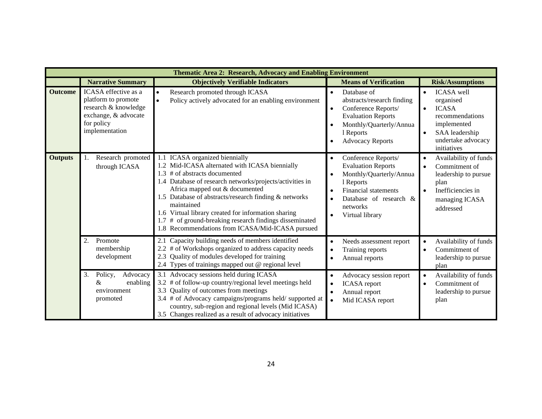|                | Thematic Area 2: Research, Advocacy and Enabling Environment                                                                |                                                                                                                                                                                                                                                                                                                                                                                                                                                         |                                                                                                                                                                                                                         |                                                                                                                                                      |  |  |  |
|----------------|-----------------------------------------------------------------------------------------------------------------------------|---------------------------------------------------------------------------------------------------------------------------------------------------------------------------------------------------------------------------------------------------------------------------------------------------------------------------------------------------------------------------------------------------------------------------------------------------------|-------------------------------------------------------------------------------------------------------------------------------------------------------------------------------------------------------------------------|------------------------------------------------------------------------------------------------------------------------------------------------------|--|--|--|
|                | <b>Narrative Summary</b>                                                                                                    | <b>Objectively Verifiable Indicators</b>                                                                                                                                                                                                                                                                                                                                                                                                                | <b>Risk/Assumptions</b><br><b>Means of Verification</b>                                                                                                                                                                 |                                                                                                                                                      |  |  |  |
| <b>Outcome</b> | ICASA effective as a<br>platform to promote<br>research & knowledge<br>exchange, & advocate<br>for policy<br>implementation | Research promoted through ICASA<br>Policy actively advocated for an enabling environment<br>$\bullet$                                                                                                                                                                                                                                                                                                                                                   | Database of<br>$\bullet$<br>abstracts/research finding<br>Conference Reports/<br>$\bullet$<br><b>Evaluation Reports</b><br>Monthly/Quarterly/Annua<br>1 Reports<br><b>Advocacy Reports</b>                              | <b>ICASA</b> well<br>organised<br><b>ICASA</b><br>$\bullet$<br>recommendations<br>implemented<br>SAA leadership<br>undertake advocacy<br>initiatives |  |  |  |
| <b>Outputs</b> | Research promoted<br>through ICASA                                                                                          | ICASA organized biennially<br>1.2 Mid-ICASA alternated with ICASA biennially<br># of abstracts documented<br>1.3<br>1.4 Database of research networks/projects/activities in<br>Africa mapped out & documented<br>1.5 Database of abstracts/research finding & networks<br>maintained<br>1.6 Virtual library created for information sharing<br># of ground-breaking research findings disseminated<br>1.8 Recommendations from ICASA/Mid-ICASA pursued | Conference Reports/<br>$\bullet$<br><b>Evaluation Reports</b><br>Monthly/Quarterly/Annua<br>1 Reports<br><b>Financial statements</b><br>$\bullet$<br>Database of research &<br>$\bullet$<br>networks<br>Virtual library | Availability of funds<br>Commitment of<br>leadership to pursue<br>plan<br>Inefficiencies in<br>managing ICASA<br>addressed                           |  |  |  |
|                | 2.<br>Promote<br>membership<br>development                                                                                  | Capacity building needs of members identified<br># of Workshops organized to address capacity needs<br>Quality of modules developed for training<br>2.3<br>2.4 Types of trainings mapped out @ regional level                                                                                                                                                                                                                                           | Needs assessment report<br>$\bullet$<br>Training reports<br>$\bullet$<br>Annual reports<br>$\bullet$                                                                                                                    | Availability of funds<br>Commitment of<br>leadership to pursue<br>plan                                                                               |  |  |  |
|                | Policy,<br>Advocacy<br>3.<br>$\&$<br>enabling<br>environment<br>promoted                                                    | 3.1 Advocacy sessions held during ICASA<br># of follow-up country/regional level meetings held<br>Quality of outcomes from meetings<br>3.3<br>3.4 # of Advocacy campaigns/programs held/ supported at<br>country, sub-region and regional levels (Mid ICASA)<br>3.5 Changes realized as a result of advocacy initiatives                                                                                                                                | Advocacy session report<br>$\bullet$<br><b>ICASA</b> report<br>$\bullet$<br>Annual report<br>$\bullet$<br>Mid ICASA report<br>$\bullet$                                                                                 | Availability of funds<br>Commitment of<br>leadership to pursue<br>plan                                                                               |  |  |  |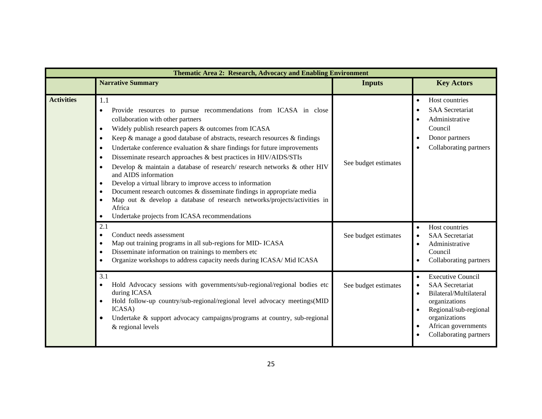|                   | Thematic Area 2: Research, Advocacy and Enabling Environment                                                                                                                                                                                                                                                                                                                                                                                                                                                                                                                                                                                                                                                                                                                                                                  |                      |                                                                                                                                                                                                                                              |  |  |  |  |
|-------------------|-------------------------------------------------------------------------------------------------------------------------------------------------------------------------------------------------------------------------------------------------------------------------------------------------------------------------------------------------------------------------------------------------------------------------------------------------------------------------------------------------------------------------------------------------------------------------------------------------------------------------------------------------------------------------------------------------------------------------------------------------------------------------------------------------------------------------------|----------------------|----------------------------------------------------------------------------------------------------------------------------------------------------------------------------------------------------------------------------------------------|--|--|--|--|
|                   | <b>Narrative Summary</b>                                                                                                                                                                                                                                                                                                                                                                                                                                                                                                                                                                                                                                                                                                                                                                                                      | <b>Inputs</b>        | <b>Key Actors</b>                                                                                                                                                                                                                            |  |  |  |  |
| <b>Activities</b> | 1.1<br>Provide resources to pursue recommendations from ICASA in close<br>$\bullet$<br>collaboration with other partners<br>Widely publish research papers & outcomes from ICASA<br>Keep & manage a good database of abstracts, research resources & findings<br>$\bullet$<br>Undertake conference evaluation $\&$ share findings for future improvements<br>Disseminate research approaches & best practices in HIV/AIDS/STIs<br>$\bullet$<br>Develop & maintain a database of research/research networks & other HIV<br>and AIDS information<br>Develop a virtual library to improve access to information<br>Document research outcomes & disseminate findings in appropriate media<br>Map out & develop a database of research networks/projects/activities in<br>Africa<br>Undertake projects from ICASA recommendations | See budget estimates | Host countries<br>$\bullet$<br><b>SAA</b> Secretariat<br>$\bullet$<br>Administrative<br>$\bullet$<br>Council<br>Donor partners<br>$\bullet$<br>Collaborating partners                                                                        |  |  |  |  |
|                   | 2.1<br>Conduct needs assessment<br>$\bullet$<br>Map out training programs in all sub-regions for MID- ICASA<br>Disseminate information on trainings to members etc<br>$\bullet$<br>Organize workshops to address capacity needs during ICASA/Mid ICASA                                                                                                                                                                                                                                                                                                                                                                                                                                                                                                                                                                        | See budget estimates | Host countries<br>$\bullet$<br><b>SAA</b> Secretariat<br>$\bullet$<br>Administrative<br>$\bullet$<br>Council<br>Collaborating partners                                                                                                       |  |  |  |  |
|                   | 3.1<br>Hold Advocacy sessions with governments/sub-regional/regional bodies etc<br>during ICASA<br>Hold follow-up country/sub-regional/regional level advocacy meetings(MID<br>ICASA)<br>Undertake & support advocacy campaigns/programs at country, sub-regional<br>& regional levels                                                                                                                                                                                                                                                                                                                                                                                                                                                                                                                                        | See budget estimates | <b>Executive Council</b><br>$\bullet$<br><b>SAA</b> Secretariat<br>$\bullet$<br>Bilateral/Multilateral<br>$\bullet$<br>organizations<br>Regional/sub-regional<br>organizations<br>African governments<br>$\bullet$<br>Collaborating partners |  |  |  |  |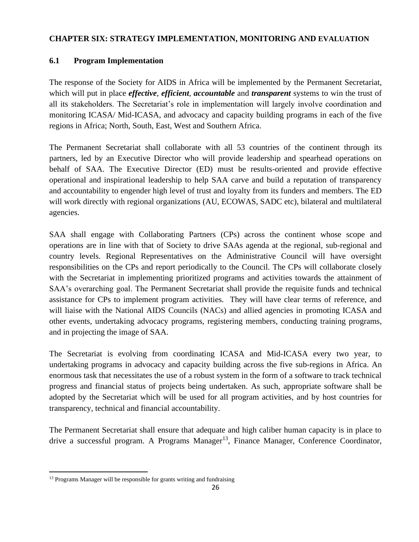## **CHAPTER SIX: STRATEGY IMPLEMENTATION, MONITORING AND EVALUATION**

## **6.1 Program Implementation**

The response of the Society for AIDS in Africa will be implemented by the Permanent Secretariat, which will put in place *effective*, *efficient*, *accountable* and *transparent* systems to win the trust of all its stakeholders. The Secretariat's role in implementation will largely involve coordination and monitoring ICASA/ Mid-ICASA, and advocacy and capacity building programs in each of the five regions in Africa; North, South, East, West and Southern Africa.

The Permanent Secretariat shall collaborate with all 53 countries of the continent through its partners, led by an Executive Director who will provide leadership and spearhead operations on behalf of SAA. The Executive Director (ED) must be results-oriented and provide effective operational and inspirational leadership to help SAA carve and build a reputation of transparency and accountability to engender high level of trust and loyalty from its funders and members. The ED will work directly with regional organizations (AU, ECOWAS, SADC etc), bilateral and multilateral agencies.

SAA shall engage with Collaborating Partners (CPs) across the continent whose scope and operations are in line with that of Society to drive SAAs agenda at the regional, sub-regional and country levels. Regional Representatives on the Administrative Council will have oversight responsibilities on the CPs and report periodically to the Council. The CPs will collaborate closely with the Secretariat in implementing prioritized programs and activities towards the attainment of SAA's overarching goal. The Permanent Secretariat shall provide the requisite funds and technical assistance for CPs to implement program activities. They will have clear terms of reference, and will liaise with the National AIDS Councils (NACs) and allied agencies in promoting ICASA and other events, undertaking advocacy programs, registering members, conducting training programs, and in projecting the image of SAA.

The Secretariat is evolving from coordinating ICASA and Mid-ICASA every two year, to undertaking programs in advocacy and capacity building across the five sub-regions in Africa. An enormous task that necessitates the use of a robust system in the form of a software to track technical progress and financial status of projects being undertaken. As such, appropriate software shall be adopted by the Secretariat which will be used for all program activities, and by host countries for transparency, technical and financial accountability.

The Permanent Secretariat shall ensure that adequate and high caliber human capacity is in place to drive a successful program. A Programs Manager<sup>13</sup>, Finance Manager, Conference Coordinator,

<sup>&</sup>lt;sup>13</sup> Programs Manager will be responsible for grants writing and fundraising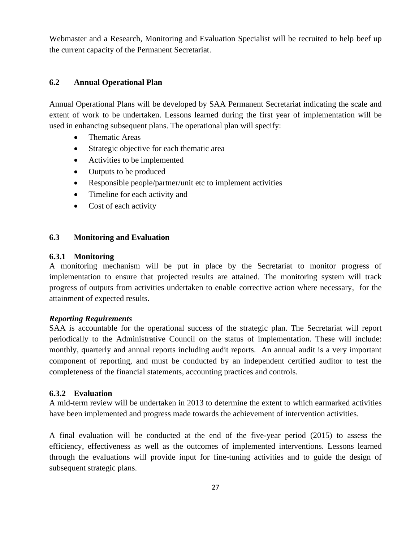Webmaster and a Research, Monitoring and Evaluation Specialist will be recruited to help beef up the current capacity of the Permanent Secretariat.

#### **6.2 Annual Operational Plan**

Annual Operational Plans will be developed by SAA Permanent Secretariat indicating the scale and extent of work to be undertaken. Lessons learned during the first year of implementation will be used in enhancing subsequent plans. The operational plan will specify:

- Thematic Areas
- Strategic objective for each thematic area
- Activities to be implemented
- Outputs to be produced
- Responsible people/partner/unit etc to implement activities
- Timeline for each activity and
- Cost of each activity

#### **6.3 Monitoring and Evaluation**

#### **6.3.1 Monitoring**

A monitoring mechanism will be put in place by the Secretariat to monitor progress of implementation to ensure that projected results are attained. The monitoring system will track progress of outputs from activities undertaken to enable corrective action where necessary, for the attainment of expected results.

#### *Reporting Requirements*

SAA is accountable for the operational success of the strategic plan. The Secretariat will report periodically to the Administrative Council on the status of implementation. These will include: monthly, quarterly and annual reports including audit reports. An annual audit is a very important component of reporting, and must be conducted by an independent certified auditor to test the completeness of the financial statements, accounting practices and controls.

## **6.3.2 Evaluation**

A mid-term review will be undertaken in 2013 to determine the extent to which earmarked activities have been implemented and progress made towards the achievement of intervention activities.

A final evaluation will be conducted at the end of the five-year period (2015) to assess the efficiency, effectiveness as well as the outcomes of implemented interventions. Lessons learned through the evaluations will provide input for fine-tuning activities and to guide the design of subsequent strategic plans.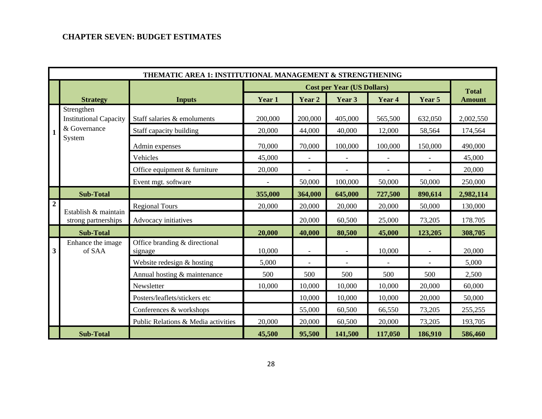## **CHAPTER SEVEN: BUDGET ESTIMATES**

|                  | THEMATIC AREA 1: INSTITUTIONAL MANAGEMENT & STRENGTHENING |                                          |         |                |                                   |                          |         |               |
|------------------|-----------------------------------------------------------|------------------------------------------|---------|----------------|-----------------------------------|--------------------------|---------|---------------|
|                  |                                                           |                                          |         |                | <b>Cost per Year (US Dollars)</b> |                          |         | <b>Total</b>  |
|                  | <b>Strategy</b>                                           | <b>Inputs</b>                            | Year 1  | Year 2         | Year 3                            | Year 4                   | Year 5  | <b>Amount</b> |
|                  | Strengthen<br><b>Institutional Capacity</b>               | Staff salaries & emoluments              | 200,000 | 200,000        | 405,000                           | 565,500                  | 632,050 | 2,002,550     |
| 1                | & Governance                                              | Staff capacity building                  | 20,000  | 44,000         | 40,000                            | 12,000                   | 58,564  | 174,564       |
|                  | System                                                    | Admin expenses                           | 70,000  | 70,000         | 100,000                           | 100,000                  | 150,000 | 490,000       |
|                  |                                                           | Vehicles                                 | 45,000  |                |                                   |                          |         | 45,000        |
|                  |                                                           | Office equipment & furniture             | 20,000  | $\blacksquare$ | $\overline{a}$                    | $\overline{\phantom{a}}$ | $\sim$  | 20,000        |
|                  |                                                           | Event mgt. software                      |         | 50,000         | 100,000                           | 50,000                   | 50,000  | 250,000       |
|                  | <b>Sub-Total</b>                                          |                                          | 355,000 | 364,000        | 645,000                           | 727,500                  | 890,614 | 2,982,114     |
| $\boldsymbol{2}$ |                                                           | <b>Regional Tours</b>                    | 20,000  | 20,000         | 20,000                            | 20,000                   | 50,000  | 130,000       |
|                  | Establish & maintain<br>strong partnerships               | Advocacy initiatives                     |         | 20,000         | 60,500                            | 25,000                   | 73,205  | 178.705       |
|                  | <b>Sub-Total</b>                                          |                                          | 20,000  | 40,000         | 80,500                            | 45,000                   | 123,205 | 308,705       |
| 3                | Enhance the image<br>of SAA                               | Office branding & directional<br>signage | 10,000  |                |                                   | 10,000                   |         | 20,000        |
|                  |                                                           | Website redesign & hosting               | 5,000   |                |                                   |                          |         | 5,000         |
|                  |                                                           | Annual hosting & maintenance             | 500     | 500            | 500                               | 500                      | 500     | 2,500         |
|                  |                                                           | Newsletter                               | 10,000  | 10,000         | 10,000                            | 10,000                   | 20,000  | 60,000        |
|                  |                                                           | Posters/leaflets/stickers etc            |         | 10,000         | 10,000                            | 10,000                   | 20,000  | 50,000        |
|                  |                                                           | Conferences & workshops                  |         | 55,000         | 60,500                            | 66,550                   | 73,205  | 255,255       |
|                  |                                                           | Public Relations & Media activities      | 20,000  | 20,000         | 60,500                            | 20,000                   | 73,205  | 193,705       |
|                  | <b>Sub-Total</b>                                          |                                          | 45,500  | 95,500         | 141,500                           | 117,050                  | 186,910 | 586,460       |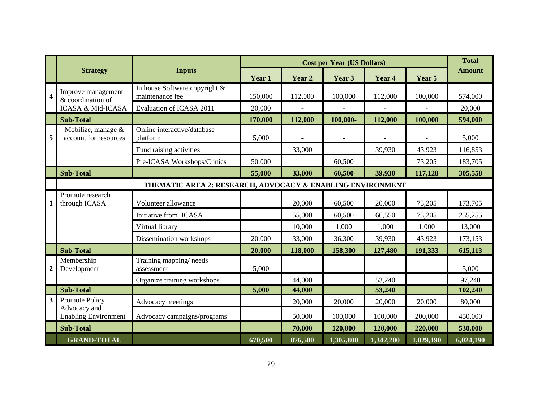|                         |                                                            |                                                  |         |         | <b>Cost per Year (US Dollars)</b> |           |           | <b>Total</b>  |
|-------------------------|------------------------------------------------------------|--------------------------------------------------|---------|---------|-----------------------------------|-----------|-----------|---------------|
|                         | <b>Strategy</b>                                            | <b>Inputs</b>                                    | Year 1  | Year 2  | Year 3                            | Year 4    | Year 5    | <b>Amount</b> |
| $\overline{\mathbf{4}}$ | Improve management<br>& coordination of                    | In house Software copyright &<br>maintenance fee | 150,000 | 112,000 | 100,000                           | 112,000   | 100,000   | 574,000       |
|                         | <b>ICASA &amp; Mid-ICASA</b>                               | Evaluation of ICASA 2011                         | 20,000  |         |                                   |           |           | 20,000        |
|                         | <b>Sub-Total</b>                                           |                                                  | 170,000 | 112,000 | 100,000-                          | 112,000   | 100,000   | 594,000       |
| 5                       | Mobilize, manage &<br>account for resources                | Online interactive/database<br>platform          | 5,000   |         |                                   |           |           | 5,000         |
|                         |                                                            | Fund raising activities                          |         | 33,000  |                                   | 39,930    | 43,923    | 116,853       |
|                         |                                                            | Pre-ICASA Workshops/Clinics                      | 50,000  |         | 60,500                            |           | 73,205    | 183,705       |
|                         | <b>Sub-Total</b>                                           |                                                  | 55,000  | 33,000  | 60,500                            | 39,930    | 117,128   | 305,558       |
|                         | THEMATIC AREA 2: RESEARCH, ADVOCACY & ENABLING ENVIRONMENT |                                                  |         |         |                                   |           |           |               |
| 1                       | Promote research<br>through ICASA                          | Volunteer allowance                              |         | 20,000  | 60,500                            | 20,000    | 73,205    | 173,705       |
|                         |                                                            | Initiative from ICASA                            |         | 55,000  | 60,500                            | 66,550    | 73,205    | 255,255       |
|                         |                                                            | Virtual library                                  |         | 10,000  | 1,000                             | 1,000     | 1,000     | 13,000        |
|                         |                                                            | Dissemination workshops                          | 20,000  | 33,000  | 36,300                            | 39,930    | 43,923    | 173,153       |
|                         | <b>Sub-Total</b>                                           |                                                  | 20,000  | 118,000 | 158,300                           | 127,480   | 191,333   | 615,113       |
| $\boldsymbol{2}$        | Membership<br>Development                                  | Training mapping/needs<br>assessment             | 5,000   |         |                                   |           |           | 5,000         |
|                         |                                                            | Organize training workshops                      |         | 44,000  |                                   | 53,240    |           | 97,240        |
|                         | <b>Sub-Total</b>                                           |                                                  | 5,000   | 44,000  |                                   | 53,240    |           | 102,240       |
| $\mathbf{3}$            | Promote Policy,                                            | Advocacy meetings                                |         | 20,000  | 20,000                            | 20,000    | 20,000    | 80,000        |
|                         | Advocacy and<br><b>Enabling Environment</b>                | Advocacy campaigns/programs                      |         | 50.000  | 100,000                           | 100,000   | 200,000   | 450,000       |
|                         | <b>Sub-Total</b>                                           |                                                  |         | 70,000  | 120,000                           | 120,000   | 220,000   | 530,000       |
|                         | <b>GRAND-TOTAL</b>                                         |                                                  | 670,500 | 876,500 | 1,305,800                         | 1,342,200 | 1,829,190 | 6,024,190     |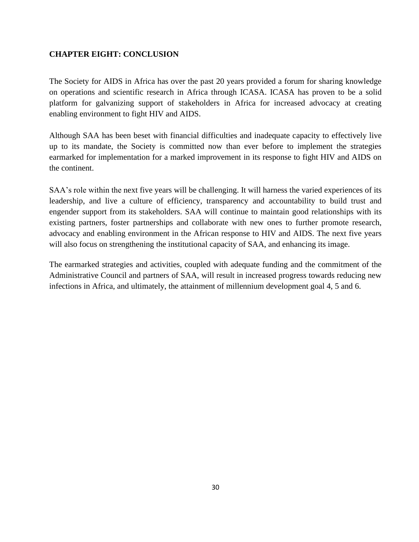## **CHAPTER EIGHT: CONCLUSION**

The Society for AIDS in Africa has over the past 20 years provided a forum for sharing knowledge on operations and scientific research in Africa through ICASA. ICASA has proven to be a solid platform for galvanizing support of stakeholders in Africa for increased advocacy at creating enabling environment to fight HIV and AIDS.

Although SAA has been beset with financial difficulties and inadequate capacity to effectively live up to its mandate, the Society is committed now than ever before to implement the strategies earmarked for implementation for a marked improvement in its response to fight HIV and AIDS on the continent.

SAA's role within the next five years will be challenging. It will harness the varied experiences of its leadership, and live a culture of efficiency, transparency and accountability to build trust and engender support from its stakeholders. SAA will continue to maintain good relationships with its existing partners, foster partnerships and collaborate with new ones to further promote research, advocacy and enabling environment in the African response to HIV and AIDS. The next five years will also focus on strengthening the institutional capacity of SAA, and enhancing its image.

The earmarked strategies and activities, coupled with adequate funding and the commitment of the Administrative Council and partners of SAA, will result in increased progress towards reducing new infections in Africa, and ultimately, the attainment of millennium development goal 4, 5 and 6.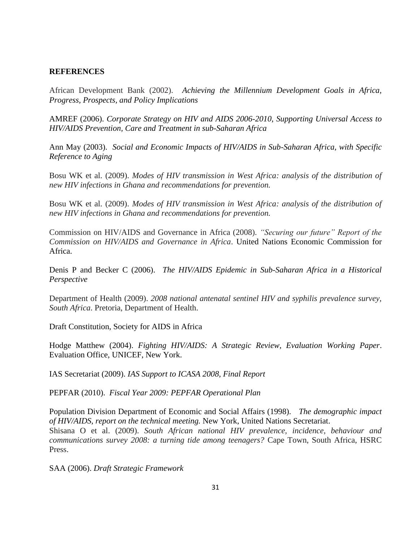#### **REFERENCES**

African Development Bank (2002). *Achieving the Millennium Development Goals in Africa, Progress, Prospects, and Policy Implications*

AMREF (2006). *Corporate Strategy on HIV and AIDS 2006-2010, Supporting Universal Access to HIV/AIDS Prevention, Care and Treatment in sub-Saharan Africa*

Ann May (2003). *Social and Economic Impacts of HIV/AIDS in Sub-Saharan Africa, with Specific Reference to Aging*

Bosu WK et al. (2009). *Modes of HIV transmission in West Africa: analysis of the distribution of new HIV infections in Ghana and recommendations for prevention.*

Bosu WK et al. (2009). *Modes of HIV transmission in West Africa: analysis of the distribution of new HIV infections in Ghana and recommendations for prevention.*

Commission on HIV/AIDS and Governance in Africa (2008). *"Securing our future" Report of the Commission on HIV/AIDS and Governance in Africa*. United Nations Economic Commission for Africa.

Denis P and Becker C (2006). *The HIV/AIDS Epidemic in Sub-Saharan Africa in a Historical Perspective*

Department of Health (2009). *2008 national antenatal sentinel HIV and syphilis prevalence survey, South Africa*. Pretoria, Department of Health.

Draft Constitution, Society for AIDS in Africa

Hodge Matthew (2004). *Fighting HIV/AIDS: A Strategic Review, Evaluation Working Paper*. Evaluation Office, UNICEF, New York.

IAS Secretariat (2009). *IAS Support to ICASA 2008, Final Report*

PEPFAR (2010). *Fiscal Year 2009: PEPFAR Operational Plan*

Population Division Department of Economic and Social Affairs (1998). *The demographic impact of HIV/AIDS, report on the technical meeting.* New York, United Nations Secretariat. Shisana O et al. (2009). *South African national HIV prevalence, incidence, behaviour and communications survey 2008: a turning tide among teenagers?* Cape Town, South Africa, HSRC Press.

SAA (2006). *Draft Strategic Framework*